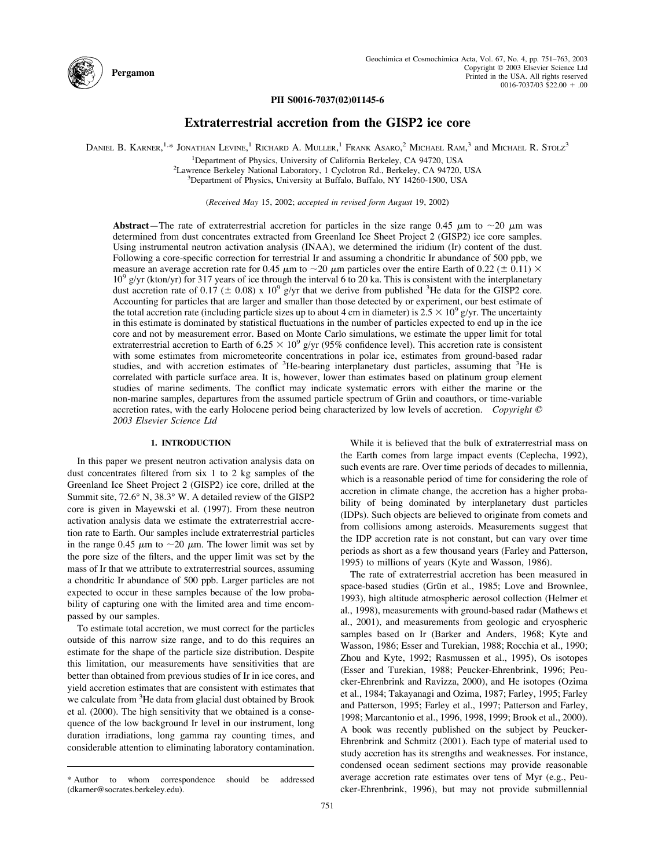

### **PII S0016-7037(02)01145-6**

# **Extraterrestrial accretion from the GISP2 ice core**

DANIEL B. KARNER,<sup>1,\*</sup> JONATHAN LEVINE,<sup>1</sup> RICHARD A. MULLER,<sup>1</sup> FRANK ASARO,<sup>2</sup> MICHAEL RAM,<sup>3</sup> and MICHAEL R. Stolz<sup>3</sup>

<sup>1</sup>Department of Physics, University of California Berkeley, CA 94720, USA <sup>1</sup>Department of Physics, University of California Berkeley, CA 94720, USA<br><sup>2</sup>Lawrence Berkeley, National Laboratory, 1 Cyclotron Rd., Berkeley, CA 94720,

Lawrence Berkeley National Laboratory, 1 Cyclotron Rd., Berkeley, CA 94720, USA<br><sup>3</sup>Department of Physics, University at Buffalo, Buffalo, NY 14260, 1500, USA <sup>3</sup>Department of Physics, University at Buffalo, Buffalo, NY 14260-1500, USA

(*Received May* 15, 2002; *accepted in revised form August* 19, 2002)

**Abstract**—The rate of extraterrestrial accretion for particles in the size range 0.45  $\mu$ m to  $\sim$ 20  $\mu$ m was determined from dust concentrates extracted from Greenland Ice Sheet Project 2 (GISP2) ice core samples. Using instrumental neutron activation analysis (INAA), we determined the iridium (Ir) content of the dust. Following a core-specific correction for terrestrial Ir and assuming a chondritic Ir abundance of 500 ppb, we measure an average accretion rate for 0.45  $\mu$ m to  $\sim$ 20  $\mu$ m particles over the entire Earth of 0.22 ( $\pm$  0.11)  $\times$  $10^9$  g/yr (kton/yr) for 317 years of ice through the interval 6 to 20 ka. This is consistent with the interplanetary dust accretion rate of 0.17 ( $\pm$  0.08) x 10<sup>9</sup> g/yr that we derive from published <sup>3</sup>He data for the GISP2 core. Accounting for particles that are larger and smaller than those detected by or experiment, our best estimate of the total accretion rate (including particle sizes up to about 4 cm in diameter) is  $2.5 \times 10^9$  g/yr. The uncertainty in this estimate is dominated by statistical fluctuations in the number of particles expected to end up in the ice core and not by measurement error. Based on Monte Carlo simulations, we estimate the upper limit for total extraterrestrial accretion to Earth of 6.25  $\times$  10<sup>9</sup> g/yr (95% confidence level). This accretion rate is consistent with some estimates from micrometeorite concentrations in polar ice, estimates from ground-based radar studies, and with accretion estimates of <sup>3</sup>He-bearing interplanetary dust particles, assuming that <sup>3</sup>He is correlated with particle surface area. It is, however, lower than estimates based on platinum group element studies of marine sediments. The conflict may indicate systematic errors with either the marine or the non-marine samples, departures from the assumed particle spectrum of Grün and coauthors, or time-variable accretion rates, with the early Holocene period being characterized by low levels of accretion. *Copyright © 2003 Elsevier Science Ltd*

### **1. INTRODUCTION**

In this paper we present neutron activation analysis data on dust concentrates filtered from six 1 to 2 kg samples of the Greenland Ice Sheet Project 2 (GISP2) ice core, drilled at the Summit site, 72.6° N, 38.3° W. A detailed review of the GISP2 core is given in [Mayewski](#page-11-0) et al. (1997). From these neutron activation analysis data we estimate the extraterrestrial accretion rate to Earth. Our samples include extraterrestrial particles in the range 0.45  $\mu$ m to  $\sim$ 20  $\mu$ m. The lower limit was set by the pore size of the filters, and the upper limit was set by the mass of Ir that we attribute to extraterrestrial sources, assuming a chondritic Ir abundance of 500 ppb. Larger particles are not expected to occur in these samples because of the low probability of capturing one with the limited area and time encompassed by our samples.

To estimate total accretion, we must correct for the particles outside of this narrow size range, and to do this requires an estimate for the shape of the particle size distribution. Despite this limitation, our measurements have sensitivities that are better than obtained from previous studies of Ir in ice cores, and yield accretion estimates that are consistent with estimates that we calculate from <sup>3</sup>He data from glacial dust obtained by [Brook](#page-10-0) et al. [\(2000\)](#page-10-0). The high sensitivity that we obtained is a consequence of the low background Ir level in our instrument, long duration irradiations, long gamma ray counting times, and considerable attention to eliminating laboratory contamination.

the Earth comes from large impact events [\(Ceplecha,](#page-10-0) 1992), such events are rare. Over time periods of decades to millennia, which is a reasonable period of time for considering the role of accretion in climate change, the accretion has a higher probability of being dominated by interplanetary dust particles (IDPs). Such objects are believed to originate from comets and from collisions among asteroids. Measurements suggest that the IDP accretion rate is not constant, but can vary over time periods as short as a few thousand years (Farley and [Patterson,](#page-10-0) [1995\)](#page-10-0) to millions of years (Kyte and [Wasson,](#page-11-0) 1986). The rate of extraterrestrial accretion has been measured in

While it is believed that the bulk of extraterrestrial mass on

space-based studies (Grün et al., 1985; Love and [Brownlee,](#page-10-0) [1993\)](#page-10-0), high altitude atmospheric aerosol collection [\(Helmer](#page-10-0) et al., [1998\)](#page-10-0), measurements with ground-based radar [\(Mathews](#page-11-0) et al., [2001\),](#page-11-0) and measurements from geologic and cryospheric samples based on Ir (Barker and [Anders,](#page-10-0) 1968; Kyte and Wasson, 1986; Esser and [Turekian,](#page-10-0) 1988; Rocchia et al., 1990; Zhou and Kyte, 1992; [Rasmussen](#page-10-0) et al., 1995), Os isotopes (Esser and Turekian, 1988; [Peucker-Ehrenbrink,](#page-10-0) 1996; Peu[cker-Ehrenbrink](#page-10-0) and Ravizza, 2000), and He isotopes [\(Ozima](#page-11-0) et al., 1984; [Takayanagi](#page-11-0) and Ozima, 1987; Farley, 1995; Farley and [Patterson,](#page-11-0) 1995; Farley et al., 1997; Patterson and Farley, 1998; [Marcantonio](#page-11-0) et al., 1996, 1998, 1999; Brook et al., 2000). A book was recently published on the subject by [Peucker-](#page-11-0)[Ehrenbrink](#page-11-0) and Schmitz (2001). Each type of material used to study accretion has its strengths and weaknesses. For instance, condensed ocean sediment sections may provide reasonable average accretion rate estimates over tens of Myr (e.g., [Peu-](#page-11-0)

Author to whom correspondence should be addressed average accretion rate estimates over tens of Myr (e.g., Peu-<br>(dkarner@socrates.berkeley.edu). [cker-Ehrenbrink,](#page-11-0) 1996), but may not provide submillennial (dkarner@socrates.berkeley.edu).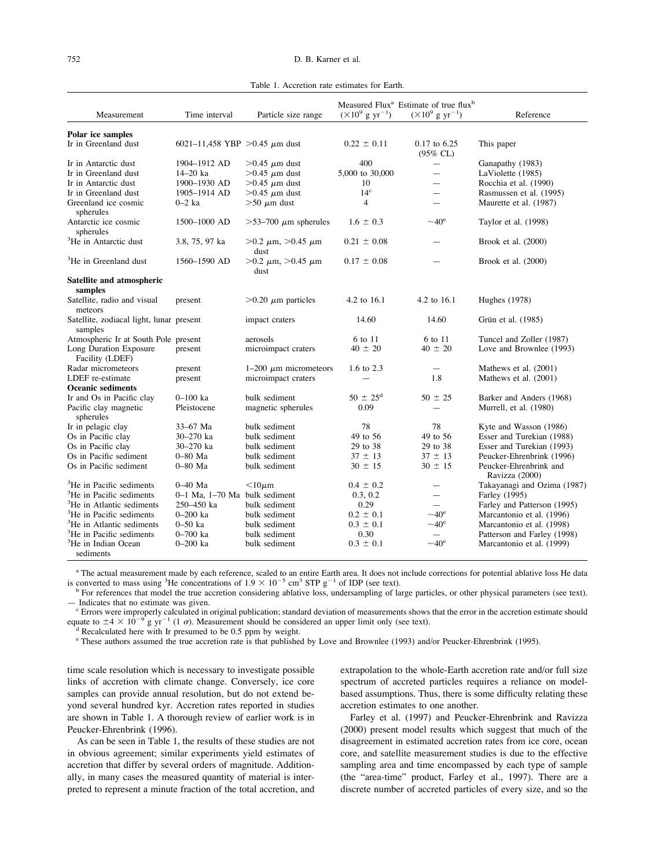Table 1. Accretion rate estimates for Earth.

<span id="page-1-0"></span>

|                                                     |                                    |                                      |                                   | Measured Flux <sup>a</sup> Estimate of true flux <sup>b</sup> |                                          |  |  |
|-----------------------------------------------------|------------------------------------|--------------------------------------|-----------------------------------|---------------------------------------------------------------|------------------------------------------|--|--|
| Measurement                                         | Time interval                      | Particle size range                  | $(\times 10^9 \text{ g yr}^{-1})$ | $(\times 10^9 \text{ g yr}^{-1})$                             | Reference                                |  |  |
|                                                     |                                    |                                      |                                   |                                                               |                                          |  |  |
| Polar ice samples<br>Ir in Greenland dust           | 6021-11,458 YBP >0.45 $\mu$ m dust |                                      | $0.22 \pm 0.11$                   | $0.17$ to 6.25<br>(95% CL)                                    | This paper                               |  |  |
| Ir in Antarctic dust                                | 1904-1912 AD                       | $>0.45 \mu$ m dust                   | 400                               | ▃                                                             | Ganapathy (1983)                         |  |  |
| Ir in Greenland dust                                | $14 - 20$ ka                       | $>0.45 \mu m$ dust                   | 5,000 to 30,000                   |                                                               | LaViolette (1985)                        |  |  |
| Ir in Antarctic dust                                | 1900-1930 AD                       | $>0.45 \mu m$ dust                   | 10                                | $\overline{\phantom{0}}$                                      | Rocchia et al. (1990)                    |  |  |
| Ir in Greenland dust                                | 1905-1914 AD                       | $>0.45 \mu m$ dust                   | 14 <sup>c</sup>                   | $\overline{\phantom{0}}$                                      | Rasmussen et al. (1995)                  |  |  |
| Greenland ice cosmic<br>spherules                   | $0-2$ ka                           | $>50 \mu m$ dust                     | $\overline{4}$                    | $\overline{\phantom{0}}$                                      | Maurette et al. (1987)                   |  |  |
| Antarctic ice cosmic<br>spherules                   | 1500-1000 AD                       | $>53-700 \mu m$ spherules            | $1.6 \pm 0.3$                     | $~10^{\circ}$                                                 | Taylor et al. (1998)                     |  |  |
| <sup>3</sup> He in Antarctic dust                   | 3.8, 75, 97 ka                     | $>0.2 \mu m$ , $>0.45 \mu m$<br>dust | $0.21 \pm 0.08$                   |                                                               | Brook et al. $(2000)$                    |  |  |
| <sup>3</sup> He in Greenland dust                   | $1560 - 1590$ AD                   | $>0.2 \mu m$ , $>0.45 \mu m$<br>dust | $0.17 \pm 0.08$                   |                                                               | Brook et al. $(2000)$                    |  |  |
| Satellite and atmospheric                           |                                    |                                      |                                   |                                                               |                                          |  |  |
| samples                                             |                                    |                                      |                                   |                                                               |                                          |  |  |
| Satellite, radio and visual<br>meteors              | present                            | $>0.20 \mu m$ particles              | 4.2 to 16.1                       | 4.2 to 16.1                                                   | <b>Hughes</b> (1978)                     |  |  |
| Satellite, zodiacal light, lunar present<br>samples |                                    | impact craters                       | 14.60                             | 14.60                                                         | Grün et al. (1985)                       |  |  |
| Atmospheric Ir at South Pole present                |                                    | aerosols                             | 6 to 11                           | 6 to 11                                                       | Tuncel and Zoller (1987)                 |  |  |
| Long Duration Exposure<br>Facility (LDEF)           | present                            | microimpact craters                  | $40 \pm 20$                       | $40 \pm 20$                                                   | Love and Brownlee (1993)                 |  |  |
| Radar micrometeors                                  | present                            | $1-200 \mu m$ micrometeors           | 1.6 to 2.3                        |                                                               | Mathews et al. (2001)                    |  |  |
| LDEF re-estimate                                    | present                            | microimpact craters                  |                                   | 1.8                                                           | Mathews et al. (2001)                    |  |  |
| <b>Oceanic sediments</b>                            |                                    |                                      |                                   |                                                               |                                          |  |  |
| Ir and Os in Pacific clay                           | $0 - 100$ ka                       | bulk sediment                        | $50 \pm 25^{\rm d}$               | $50 \pm 25$                                                   | Barker and Anders (1968)                 |  |  |
| Pacific clay magnetic<br>spherules                  | Pleistocene                        | magnetic spherules                   | 0.09                              |                                                               | Murrell, et al. (1980)                   |  |  |
| Ir in pelagic clay                                  | 33–67 Ma                           | bulk sediment                        | 78                                | 78                                                            | Kyte and Wasson (1986)                   |  |  |
| Os in Pacific clay                                  | 30–270 ka                          | bulk sediment                        | 49 to 56                          | 49 to 56                                                      | Esser and Turekian (1988)                |  |  |
| Os in Pacific clay                                  | 30–270 ka                          | bulk sediment                        | 29 to 38                          | 29 to 38                                                      | Esser and Turekian (1993)                |  |  |
| Os in Pacific sediment                              | $0-80$ Ma                          | bulk sediment                        | $37 \pm 13$                       | $37 \pm 13$                                                   | Peucker-Ehrenbrink (1996)                |  |  |
| Os in Pacific sediment                              | $0-80$ Ma                          | bulk sediment                        | $30 \pm 15$                       | $30 \pm 15$                                                   | Peucker-Ehrenbrink and<br>Ravizza (2000) |  |  |
| <sup>3</sup> He in Pacific sediments                | $0 - 40$ Ma                        | $<10 \mu m$                          | $0.4 \pm 0.2$                     | $\overline{\phantom{0}}$                                      | Takayanagi and Ozima (1987)              |  |  |
| <sup>3</sup> He in Pacific sediments                | 0-1 Ma, 1-70 Ma bulk sediment      |                                      | 0.3, 0.2                          | $\overline{\phantom{0}}$                                      | Farley (1995)                            |  |  |
| <sup>3</sup> He in Atlantic sediments               | 250-450 ka                         | bulk sediment                        | 0.29                              | $\overline{\phantom{0}}$                                      | Farley and Patterson (1995)              |  |  |
| <sup>3</sup> He in Pacific sediments                | $0 - 200$ ka                       | bulk sediment                        | $0.2 \pm 0.1$                     | $\sim$ 40 <sup>e</sup>                                        | Marcantonio et al. (1996)                |  |  |
| <sup>3</sup> He in Atlantic sediments               | $0 - 50$ ka                        | bulk sediment                        | $0.3 \pm 0.1$                     | $~10^{\circ}$                                                 | Marcantonio et al. (1998)                |  |  |
| <sup>3</sup> He in Pacific sediments                | $0 - 700$ ka                       | bulk sediment                        | 0.30                              |                                                               | Patterson and Farley (1998)              |  |  |
| <sup>3</sup> He in Indian Ocean<br>sediments        | $0 - 200$ ka                       | bulk sediment                        | $0.3 \pm 0.1$                     | $\sim$ 40 <sup>e</sup>                                        | Marcantonio et al. (1999)                |  |  |

<sup>a</sup> The actual [measurement](#page-11-0) made by each reference, scaled to an entire Earth area. It does not include corrections for potential ablative loss He data is converted to mass using <sup>3</sup>He concentrations of  $1.9 \times 10^{-5}$  cm<sup>3</sup> STP g<sup>-1</sup> of IDP (see text).

For references that model the true accretion considering ablative loss, [undersampling](#page-11-0) of large particles, or other physical parameters (see text). — [Indicates](#page-11-0) that no estimate was given.<br>
C Errors were improperly calculated in original publication; standard deviation of [measurements](#page-11-0) shows that the error in the accretion estimate should

equate to  $\pm 4 \times 10^{-9}$  g yr<sup>-1</sup> (1  $\sigma$ ). Measurement should be considered an upper limit only (see text).<br><sup>d</sup> Recalculated here with Ir presumed to be 0.5 ppm by weight.

<sup>e</sup> These authors assumed the true accretion rate is that published by Love and [Brownlee](#page-11-0) (1993) and/or [Peucker-Ehrenbrink](#page-10-0) (1995).

time scale resolution which is necessary to investigate possible links of accretion with climate change. Conversely, ice core samples can provide annual resolution, but do not extend beyond several hundred kyr. Accretion rates reported in studies are shown in Table 1. A thorough review of earlier work is in [Peucker-Ehrenbrink](#page-11-0) (1996).

As can be seen in Table 1, the results of these studies are not in obvious agreement; similar experiments yield estimates of accretion that differ by several orders of magnitude. Additionally, in many cases the measured quantity of material is interpreted to represent a minute fraction of the total accretion, and extrapolation to the whole-Earth accretion rate and/or full size spectrum of accreted particles requires a reliance on modelbased assumptions. Thus, there is some difficulty relating these accretion estimates to one another.

Farley et al. [\(1997\)](#page-10-0) and [Peucker-Ehrenbrink](#page-11-0) and Ravizza [\(2000\)](#page-11-0) present model results which suggest that much of the disagreement in estimated accretion rates from ice core, ocean core, and satellite measurement studies is due to the effective sampling area and time encompassed by each type of sample (the "area-time" product, [Farley](#page-10-0) et al., 1997). There are a discrete number of accreted particles of every size, and so the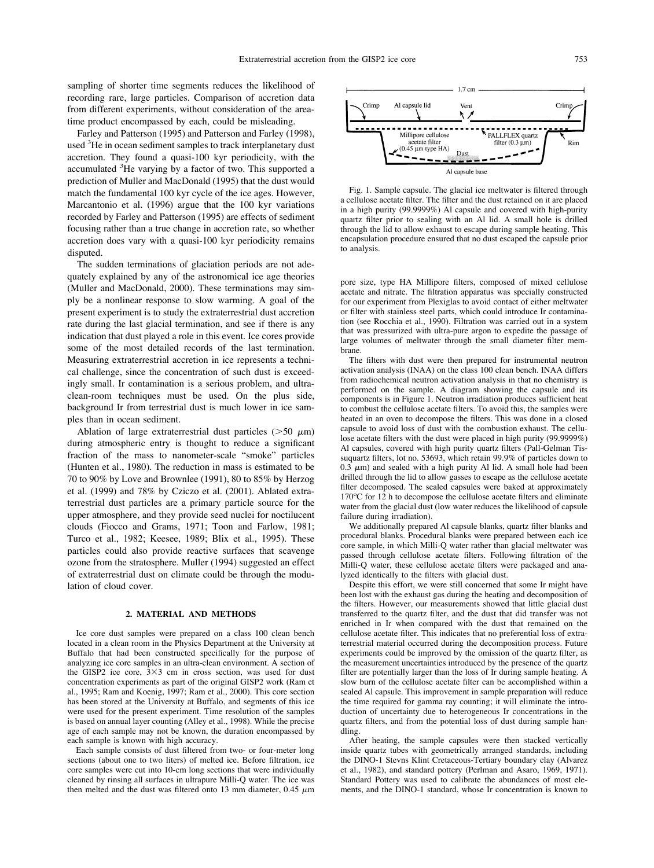sampling of shorter time segments reduces the likelihood of recording rare, large particles. Comparison of accretion data from different experiments, without consideration of the areatime product encompassed by each, could be misleading.

Farley and [Patterson](#page-10-0) (1995) and [Patterson](#page-11-0) and Farley (1998), used <sup>3</sup>He in ocean sediment samples to track interplanetary dust accretion. They found a quasi-100 kyr periodicity, with the accumulated <sup>3</sup>He varying by a factor of two. This supported a prediction of Muller and [MacDonald](#page-11-0) (1995) that the dust would match the fundamental 100 kyr cycle of the ice ages. However, [Marcantonio](#page-11-0) et al. (1996) argue that the 100 kyr variations recorded by Farley and [Patterson](#page-10-0) (1995) are effects of sediment focusing rather than a true change in accretion rate, so whether accretion does vary with a quasi-100 kyr periodicity remains disputed.

The sudden terminations of glaciation periods are not adequately explained by any of the astronomical ice age theories (Muller and [MacDonald,](#page-11-0) 2000). These terminations may simply be a nonlinear response to slow warming. A goal of the present experiment is to study the extraterrestrial dust accretion rate during the last glacial termination, and see if there is any indication that dust played a role in this event. Ice cores provide some of the most detailed records of the last termination. Measuring extraterrestrial accretion in ice represents a technical challenge, since the concentration of such dust is exceedingly small. Ir contamination is a serious problem, and ultraclean-room techniques must be used. On the plus side, background Ir from terrestrial dust is much lower in ice samples than in ocean sediment.

Ablation of large extraterrestrial dust particles ( $>50 \mu$ m) during atmospheric entry is thought to reduce a significant fraction of the mass to nanometer-scale "smoke" particles [\(Hunten](#page-10-0) et al., 1980). The reduction in mass is estimated to be 70 to 90% by Love and [Brownlee](#page-11-0) (1991), 80 to 85% by [Herzog](#page-10-0) et al. [\(1999\)](#page-10-0) and 78% by [Cziczo](#page-10-0) et al. (2001). Ablated extraterrestrial dust particles are a primary particle source for the upper atmosphere, and they provide seed nuclei for noctilucent clouds (Fiocco and Grams, 1971; Toon and [Farlow,](#page-10-0) 1981; Turco et al., 1982; [Keesee,](#page-10-0) 1989; Blix et al., 1995). These particles could also provide reactive surfaces that scavenge ozone from the stratosphere. [Muller](#page-11-0) (1994) suggested an effect of extraterrestrial dust on climate could be through the modulation of cloud cover.

### **2. MATERIAL AND METHODS**

Ice core dust samples were prepared on a class 100 clean bench located in a clean room in the Physics Department at the University at Buffalo that had been constructed specifically for the purpose of analyzing ice core samples in an ultra-clean environment. A section of the GISP2 ice core,  $3 \times 3$  cm in cross section, was used for dust concentration experiments as part of the original GISP2 work [\(Ram](#page-11-0) et al., 1995; Ram and [Koenig,](#page-11-0) 1997; Ram et al., 2000). This core section has been stored at the University at Buffalo, and segments of this ice were used for the present experiment. Time resolution of the samples is based on annual layer counting (Alley et al., 1998). While the precise age of each sample may not be known, the duration encompassed by each sample is known with high accuracy.

Each sample consists of dust filtered from two- or four-meter long sections (about one to two liters) of melted ice. Before filtration, ice core samples were cut into 10-cm long sections that were individually cleaned by rinsing all surfaces in ultrapure Milli-Q water. The ice was then melted and the dust was filtered onto 13 mm diameter,  $0.45 \mu m$ 



Fig. 1. Sample capsule. The glacial ice meltwater is filtered through a cellulose acetate filter. The filter and the dust retained on it are placed in a high purity (99.9999%) Al capsule and covered with high-purity quartz filter prior to sealing with an Al lid. A small hole is drilled through the lid to allow exhaust to escape during sample heating. This encapsulation procedure ensured that no dust escaped the capsule prior to analysis.

pore size, type HA Millipore filters, composed of mixed cellulose acetate and nitrate. The filtration apparatus was specially constructed for our experiment from Plexiglas to avoid contact of either meltwater or filter with stainless steel parts, which could introduce Ir contamination (see [Rocchia](#page-11-0) et al., 1990). Filtration was carried out in a system that was pressurized with ultra-pure argon to expedite the passage of large volumes of meltwater through the small diameter filter membrane.

The filters with dust were then prepared for instrumental neutron activation analysis (INAA) on the class 100 clean bench. INAA differs from radiochemical neutron activation analysis in that no chemistry is performed on the sample. A diagram showing the capsule and its components is in Figure 1. Neutron irradiation produces sufficient heat to combust the cellulose acetate filters. To avoid this, the samples were heated in an oven to decompose the filters. This was done in a closed capsule to avoid loss of dust with the combustion exhaust. The cellulose acetate filters with the dust were placed in high purity (99.9999%) Al capsules, covered with high purity quartz filters (Pall-Gelman Tissuquartz filters, lot no. 53693, which retain 99.9% of particles down to  $0.3 \mu m$ ) and sealed with a high purity Al lid. A small hole had been drilled through the lid to allow gasses to escape as the cellulose acetate filter decomposed. The sealed capsules were baked at approximately 170°C for 12 h to decompose the cellulose acetate filters and eliminate water from the glacial dust (low water reduces the likelihood of capsule failure during irradiation).

We additionally prepared Al capsule blanks, quartz filter blanks and procedural blanks. Procedural blanks were prepared between each ice core sample, in which Milli-Q water rather than glacial meltwater was passed through cellulose acetate filters. Following filtration of the Milli-Q water, these cellulose acetate filters were packaged and analyzed identically to the filters with glacial dust.

Despite this effort, we were still concerned that some Ir might have been lost with the exhaust gas during the heating and decomposition of the filters. However, our measurements showed that little glacial dust transferred to the quartz filter, and the dust that did transfer was not enriched in Ir when compared with the dust that remained on the cellulose acetate filter. This indicates that no preferential loss of extraterrestrial material occurred during the decomposition process. Future experiments could be improved by the omission of the quartz filter, as the measurement uncertainties introduced by the presence of the quartz filter are potentially larger than the loss of Ir during sample heating. A slow burn of the cellulose acetate filter can be accomplished within a sealed Al capsule. This improvement in sample preparation will reduce the time required for gamma ray counting; it will eliminate the introduction of uncertainty due to heterogeneous Ir concentrations in the quartz filters, and from the potential loss of dust during sample handling.

After heating, the sample capsules were then stacked vertically inside quartz tubes with geometrically arranged standards, including the DINO-1 Stevns Klint Cretaceous-Tertiary boundary clay [\(Alvarez](#page-10-0) et al., [1982\)](#page-10-0), and standard pottery [\(Perlman](#page-11-0) and Asaro, 1969, 1971). Standard Pottery was used to calibrate the abundances of most elements, and the DINO-1 standard, whose Ir concentration is known to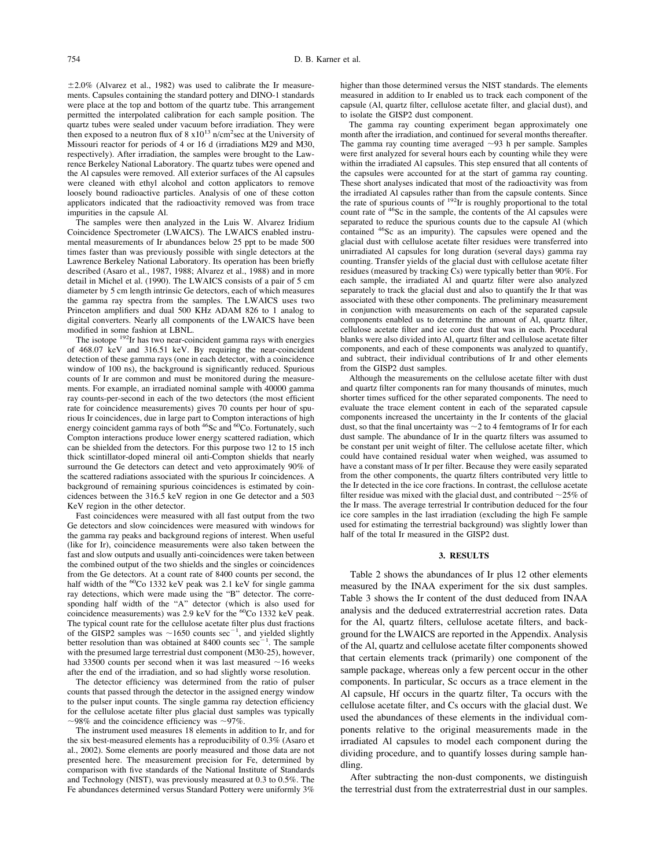$\pm 2.0\%$  [\(Alvarez](#page-10-0) et al., 1982) was used to calibrate the Ir measurements. Capsules containing the standard pottery and DINO-1 standards were place at the top and bottom of the quartz tube. This arrangement permitted the interpolated calibration for each sample position. The quartz tubes were sealed under vacuum before irradiation. They were then exposed to a neutron flux of  $8 \times 10^{13}$  n/cm<sup>2</sup>sec at the University of Missouri reactor for periods of 4 or 16 d (irradiations M29 and M30, respectively). After irradiation, the samples were brought to the Lawrence Berkeley National Laboratory. The quartz tubes were opened and the Al capsules were removed. All exterior surfaces of the Al capsules were cleaned with ethyl alcohol and cotton applicators to remove loosely bound radioactive particles. Analysis of one of these cotton applicators indicated that the radioactivity removed was from trace impurities in the capsule Al.

The samples were then analyzed in the Luis W. Alvarez Iridium Coincidence Spectrometer (LWAICS). The LWAICS enabled instrumental measurements of Ir abundances below 25 ppt to be made 500 times faster than was previously possible with single detectors at the Lawrence Berkeley National Laboratory. Its operation has been briefly described (Asaro et al., 1987, 1988; [Alvarez](#page-10-0) et al., 1988) and in more detail in [Michel](#page-11-0) et al. (1990). The LWAICS consists of a pair of 5 cm diameter by 5 cm length intrinsic Ge detectors, each of which measures the gamma ray spectra from the samples. The LWAICS uses two Princeton amplifiers and dual 500 KHz ADAM 826 to 1 analog to digital converters. Nearly all components of the LWAICS have been modified in some fashion at LBNL.

The isotope <sup>192</sup>Ir has two near-coincident gamma rays with energies of 468.07 keV and 316.51 keV. By requiring the near-coincident detection of these gamma rays (one in each detector, with a coincidence window of 100 ns), the background is significantly reduced. Spurious counts of Ir are common and must be monitored during the measurements. For example, an irradiated nominal sample with 40000 gamma ray counts-per-second in each of the two detectors (the most efficient rate for coincidence measurements) gives 70 counts per hour of spurious Ir coincidences, due in large part to Compton interactions of high energy coincident gamma rays of both <sup>46</sup>Sc and <sup>60</sup>Co. Fortunately, such Compton interactions produce lower energy scattered radiation, which can be shielded from the detectors. For this purpose two 12 to 15 inch thick scintillator-doped mineral oil anti-Compton shields that nearly surround the Ge detectors can detect and veto approximately 90% of the scattered radiations associated with the spurious Ir coincidences. A background of remaining spurious coincidences is estimated by coincidences between the 316.5 keV region in one Ge detector and a 503 KeV region in the other detector.

Fast coincidences were measured with all fast output from the two Ge detectors and slow coincidences were measured with windows for the gamma ray peaks and background regions of interest. When useful (like for Ir), coincidence measurements were also taken between the fast and slow outputs and usually anti-coincidences were taken between the combined output of the two shields and the singles or coincidences from the Ge detectors. At a count rate of 8400 counts per second, the half width of the <sup>60</sup>Co 1332 keV peak was 2.1 keV for single gamma ray detections, which were made using the "B" detector. The corresponding half width of the "A" detector (which is also used for coincidence measurements) was 2.9 keV for the <sup>60</sup>Co 1332 keV peak. The typical count rate for the cellulose acetate filter plus dust fractions of the GISP2 samples was  $\sim$ 1650 counts sec<sup>-1</sup>, and yielded slightly better resolution than was obtained at 8400 counts  $sec^{-}$ . The sample with the presumed large terrestrial dust component (M30-25), however, had 33500 counts per second when it was last measured  $~16$  weeks after the end of the irradiation, and so had slightly worse resolution.

The detector efficiency was determined from the ratio of pulser counts that passed through the detector in the assigned energy window to the pulser input counts. The single gamma ray detection efficiency for the cellulose acetate filter plus glacial dust samples was typically  $\sim$ 98% and the coincidence efficiency was  $\sim$ 97%.

The instrument used measures 18 elements in addition to Ir, and for the six best-measured elements has a reproducibility of 0.3% [\(Asaro](#page-10-0) et al., [2002\)](#page-10-0). Some elements are poorly measured and those data are not presented here. The measurement precision for Fe, determined by comparison with five standards of the National Institute of Standards and Technology (NIST), was previously measured at 0.3 to 0.5%. The Fe abundances determined versus Standard Pottery were uniformly 3%

higher than those determined versus the NIST standards. The elements measured in addition to Ir enabled us to track each component of the capsule (Al, quartz filter, cellulose acetate filter, and glacial dust), and to isolate the GISP2 dust component.

The gamma ray counting experiment began approximately one month after the irradiation, and continued for several months thereafter. The gamma ray counting time averaged  $\sim$ 93 h per sample. Samples were first analyzed for several hours each by counting while they were within the irradiated Al capsules. This step ensured that all contents of the capsules were accounted for at the start of gamma ray counting. These short analyses indicated that most of the radioactivity was from the irradiated Al capsules rather than from the capsule contents. Since the rate of spurious counts of 192Ir is roughly proportional to the total count rate of <sup>46</sup>Sc in the sample, the contents of the Al capsules were separated to reduce the spurious counts due to the capsule Al (which contained 46Sc as an impurity). The capsules were opened and the glacial dust with cellulose acetate filter residues were transferred into unirradiated Al capsules for long duration (several days) gamma ray counting. Transfer yields of the glacial dust with cellulose acetate filter residues (measured by tracking Cs) were typically better than 90%. For each sample, the irradiated Al and quartz filter were also analyzed separately to track the glacial dust and also to quantify the Ir that was associated with these other components. The preliminary measurement in conjunction with measurements on each of the separated capsule components enabled us to determine the amount of Al, quartz filter, cellulose acetate filter and ice core dust that was in each. Procedural blanks were also divided into Al, quartz filter and cellulose acetate filter components, and each of these components was analyzed to quantify, and subtract, their individual contributions of Ir and other elements from the GISP2 dust samples.

Although the measurements on the cellulose acetate filter with dust and quartz filter components ran for many thousands of minutes, much shorter times sufficed for the other separated components. The need to evaluate the trace element content in each of the separated capsule components increased the uncertainty in the Ir contents of the glacial dust, so that the final uncertainty was  $\sim$  2 to 4 femtograms of Ir for each dust sample. The abundance of Ir in the quartz filters was assumed to be constant per unit weight of filter. The cellulose acetate filter, which could have contained residual water when weighed, was assumed to have a constant mass of Ir per filter. Because they were easily separated from the other components, the quartz filters contributed very little to the Ir detected in the ice core fractions. In contrast, the cellulose acetate filter residue was mixed with the glacial dust, and contributed  $\sim$ 25% of the Ir mass. The average terrestrial Ir contribution deduced for the four ice core samples in the last irradiation (excluding the high Fe sample used for estimating the terrestrial background) was slightly lower than half of the total Ir measured in the GISP2 dust.

#### **3. RESULTS**

[Table](#page-4-0) 2 shows the abundances of Ir plus 12 other elements measured by the INAA experiment for the six dust samples. [Table](#page-4-0) 3 shows the Ir content of the dust deduced from INAA analysis and the deduced extraterrestrial accretion rates. Data for the Al, quartz filters, cellulose acetate filters, and background for the LWAICS are reported in the Appendix. Analysis of the Al, quartz and cellulose acetate filter components showed that certain elements track (primarily) one component of the sample package, whereas only a few percent occur in the other components. In particular, Sc occurs as a trace element in the Al capsule, Hf occurs in the quartz filter, Ta occurs with the cellulose acetate filter, and Cs occurs with the glacial dust. We used the abundances of these elements in the individual components relative to the original measurements made in the irradiated Al capsules to model each component during the dividing procedure, and to quantify losses during sample handling.

After subtracting the non-dust components, we distinguish the terrestrial dust from the extraterrestrial dust in our samples.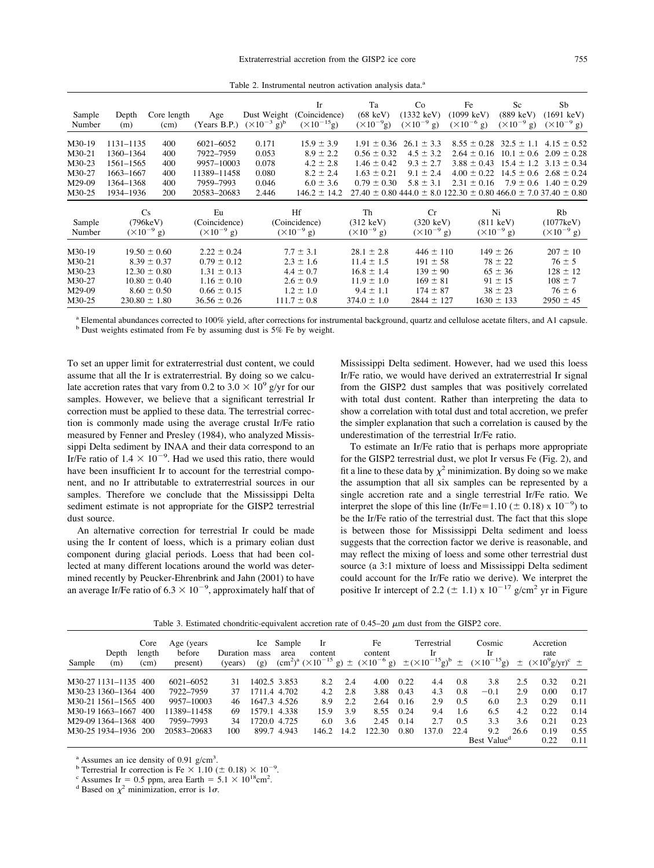| Table 2. Instrumental neutron activation analysis data. <sup>a</sup> |  |  |
|----------------------------------------------------------------------|--|--|
|                                                                      |  |  |

<span id="page-4-0"></span>

| Sample<br>Number                                                        | Depth<br>(m)                                                               | Core length<br>(cm)                                                                                                 | Age<br>(Years B.P.)                                                                                             | Dust Weight<br>$(\times 10^{-3} \text{ g})^{\text{b}}$ | Ir<br>(Coincidence)<br>$(\times 10^{-15} g)$                                                           | Ta<br>$(68 \text{ keV})$<br>$(\times 10^{-9} g)$                                                         | Co<br>$(1332 \text{ keV})$<br>$(\times 10^{-9} \text{ g})$                                      | Fe<br>$(1099 \text{ keV})$<br>$(\times 10^{-6} \text{ g})$                                                                                                                         | Sc<br>$(889 \text{ keV})$<br>$(\times 10^{-9} \text{ g})$                                  | Sb<br>$(1691 \text{ keV})$<br>$(\times 10^{-9} \text{ g})$                                  |
|-------------------------------------------------------------------------|----------------------------------------------------------------------------|---------------------------------------------------------------------------------------------------------------------|-----------------------------------------------------------------------------------------------------------------|--------------------------------------------------------|--------------------------------------------------------------------------------------------------------|----------------------------------------------------------------------------------------------------------|-------------------------------------------------------------------------------------------------|------------------------------------------------------------------------------------------------------------------------------------------------------------------------------------|--------------------------------------------------------------------------------------------|---------------------------------------------------------------------------------------------|
| M <sub>30</sub> -19<br>$M30-21$<br>M30-23<br>M30-27<br>M29-09<br>M30-25 | 1131-1135<br>1360–1364<br>1561–1565<br>1663–1667<br>1364-1368<br>1934–1936 | 400<br>400<br>400<br>400<br>400<br><b>200</b>                                                                       | 6021-6052<br>7922-7959<br>9957-10003<br>11389-11458<br>7959-7993<br>20583-20683                                 | 0.171<br>0.053<br>0.078<br>0.080<br>0.046<br>2.446     | $15.9 \pm 3.9$<br>$8.9 \pm 2.2$<br>$4.2 \pm 2.8$<br>$8.2 \pm 2.4$<br>$6.0 \pm 3.6$<br>$146.2 \pm 14.2$ | $1.91 \pm 0.36$<br>$0.56 \pm 0.32$<br>$1.46 \pm 0.42$<br>$1.63 \pm 0.21$<br>$0.79 \pm 0.30$              | $26.1 \pm 3.3$<br>$4.5 \pm 3.2$<br>$9.3 \pm 2.7$<br>$9.1 \pm 2.4$<br>$5.8 \pm 3.1$              | $8.55 \pm 0.28$<br>$2.64 \pm 0.16$<br>$3.88 \pm 0.43$<br>$4.00 \pm 0.22$<br>$2.31 \pm 0.16$<br>$27.40 \pm 0.80$ 444.0 $\pm$ 8.0 122.30 $\pm$ 0.80 466.0 $\pm$ 7.0 37.40 $\pm$ 0.80 | $32.5 \pm 1.1$<br>$10.1 \pm 0.6$<br>$15.4 \pm 1.2$<br>$14.5 \pm 0.6$<br>$7.9 \pm 0.6$      | $4.15 \pm 0.52$<br>$2.09 \pm 0.28$<br>$3.13 \pm 0.34$<br>$2.68 \pm 0.24$<br>$1.40 \pm 0.29$ |
| Sample<br>Number                                                        |                                                                            | Cs<br>(796keV)<br>$(\times 10^{-9} \text{ g})$                                                                      | Eu<br>(Coincidence)<br>$(\times 10^{-9} \text{ g})$                                                             |                                                        | Hf<br>(Coincidence)<br>$(\times 10^{-9} \text{ g})$                                                    | Th<br>$(312 \text{ keV})$<br>$(\times 10^{-9} \text{ g})$                                                | Cr<br>$(320 \text{ keV})$<br>$(\times 10^{-9} \text{ g})$                                       | Ni                                                                                                                                                                                 | $(811 \text{ keV})$<br>$(\times 10^{-9} \text{ g})$                                        | Rb<br>(1077keV)<br>$(\times 10^{-9} \text{ g})$                                             |
| M30-19<br>M30-21<br>M30-23<br>$M30-27$<br>M29-09<br>M30-25              |                                                                            | $19.50 \pm 0.60$<br>$8.39 \pm 0.37$<br>$12.30 \pm 0.80$<br>$10.80 \pm 0.40$<br>$8.60 \pm 0.50$<br>$230.80 \pm 1.80$ | $2.22 \pm 0.24$<br>$0.79 \pm 0.12$<br>$1.31 \pm 0.13$<br>$1.16 \pm 0.10$<br>$0.66 \pm 0.15$<br>$36.56 \pm 0.26$ |                                                        | $7.7 \pm 3.1$<br>$2.3 \pm 1.6$<br>$4.4 \pm 0.7$<br>$2.6 \pm 0.9$<br>$1.2 \pm 1.0$<br>$111.7 \pm 0.8$   | $28.1 \pm 2.8$<br>$11.4 \pm 1.5$<br>$16.8 \pm 1.4$<br>$11.9 \pm 1.0$<br>$9.4 \pm 1.1$<br>$374.0 \pm 1.0$ | $446 \pm 110$<br>$191 \pm 58$<br>$139 \pm 90$<br>$169 \pm 81$<br>$174 \pm 87$<br>$2844 \pm 127$ |                                                                                                                                                                                    | $149 \pm 26$<br>$78 \pm 22$<br>$65 \pm 36$<br>$91 \pm 15$<br>$38 \pm 23$<br>$1630 \pm 133$ | $207 \pm 10$<br>$76 \pm 5$<br>$128 \pm 12$<br>$108 \pm 7$<br>$76 \pm 6$<br>$2950 \pm 45$    |

<sup>a</sup> Elemental abundances corrected to 100% yield, after corrections for instrumental background, quartz and cellulose acetate filters, and A1 capsule. b Dust weights estimated from Fe by assuming dust is 5% Fe by weight.

To set an upper limit for extraterrestrial dust content, we could assume that all the Ir is extraterrestrial. By doing so we calculate accretion rates that vary from 0.2 to 3.0  $\times$  10<sup>9</sup> g/yr for our samples. However, we believe that a significant terrestrial Ir correction must be applied to these data. The terrestrial correction is commonly made using the average crustal Ir/Fe ratio measured by Fenner and [Presley](#page-10-0) (1984), who analyzed Mississippi Delta sediment by INAA and their data correspond to an Ir/Fe ratio of  $1.4 \times 10^{-9}$ . Had we used this ratio, there would have been insufficient Ir to account for the terrestrial component, and no Ir attributable to extraterrestrial sources in our samples. Therefore we conclude that the Mississippi Delta sediment estimate is not appropriate for the GISP2 terrestrial dust source.

An alternative correction for terrestrial Ir could be made using the Ir content of loess, which is a primary eolian dust component during glacial periods. Loess that had been collected at many different locations around the world was determined recently by [Peucker-Ehrenbrink](#page-11-0) and Jahn (2001) to have an average Ir/Fe ratio of  $6.3 \times 10^{-9}$ , approximately half that of Mississippi Delta sediment. However, had we used this loess Ir/Fe ratio, we would have derived an extraterrestrial Ir signal from the GISP2 dust samples that was positively correlated with total dust content. Rather than interpreting the data to show a correlation with total dust and total accretion, we prefer the simpler explanation that such a correlation is caused by the underestimation of the terrestrial Ir/Fe ratio.

To estimate an Ir/Fe ratio that is perhaps more appropriate for the GISP2 terrestrial dust, we plot Ir versus Fe [\(Fig.](#page-5-0) 2), and fit a line to these data by  $\chi^2$  minimization. By doing so we make the assumption that all six samples can be represented by a single accretion rate and a single terrestrial Ir/Fe ratio. We interpret the slope of this line (Ir/Fe=1.10 ( $\pm$  0.18) x 10<sup>-9</sup>) to be the Ir/Fe ratio of the terrestrial dust. The fact that this slope is between those for Mississippi Delta sediment and loess suggests that the correction factor we derive is reasonable, and may reflect the mixing of loess and some other terrestrial dust source (a 3:1 mixture of loess and Mississippi Delta sediment could account for the Ir/Fe ratio we derive). We interpret the positive Ir intercept of 2.2 ( $\pm$  1.1) x 10<sup>-17</sup> g/cm<sup>2</sup> yr in Figure

Table 3. Estimated chondritic-equivalent accretion rate of  $0.45-20 \mu m$  dust from the GISP2 core.

|        |                               | Core           | Age (years         |                     | Ice         | Sample       | 1r                                                    |       | Fe                                      |      | Terrestrial                |      | Cosmic                      |       | Accretion                                 |      |
|--------|-------------------------------|----------------|--------------------|---------------------|-------------|--------------|-------------------------------------------------------|-------|-----------------------------------------|------|----------------------------|------|-----------------------------|-------|-------------------------------------------|------|
| Sample | Depth<br>(m)                  | length<br>(cm) | before<br>present) | Duration<br>(years) | mass<br>(g) | area         | content<br>$\rm (cm^2)^a$ $(\times 10^{-15}$ g) $\pm$ |       | content<br>$(\times 10^{-6} \text{ g})$ |      | -lr<br>$\pm (10^{-15}g)^b$ | 土    | Ir<br>$(\times 10^{-15} g)$ | $\pm$ | rate<br>$(\times 10^9 \text{g/yr})^c \pm$ |      |
|        | M <sub>30</sub> -27 1131-1135 | 400            | 6021-6052          | 31                  |             | 1402.5 3.853 | 8.2                                                   | 2.4   | 4.00                                    | 0.22 | 4.4                        | 0.8  | 3.8                         | 2.5   | 0.32                                      | 0.21 |
|        | M <sub>30</sub> -23 1360-1364 | 400            | 7922-7959          | 37                  |             | 1711.4 4.702 | 4.2                                                   | 2.8   | 3.88                                    | 0.43 | 4.3                        | 0.8  | $-0.1$                      | 2.9   | 0.00                                      | 0.17 |
|        | M <sub>30</sub> -21 1561-1565 | 400            | 9957-10003         | 46                  |             | 1647.3 4.526 | 8.9                                                   | 22    | 2.64                                    | 0.16 | 2.9                        | 0.5  | 6.0                         | 2.3   | 0.29                                      | 0.11 |
|        | M <sub>30</sub> -19 1663-1667 | 400            | 11389–11458        | 69                  |             | 1579.1 4.338 | 15.9                                                  | 3.9   | 8.55                                    | 0.24 | 9.4                        | 1.6  | 6.5                         | 4.2   | 0.22                                      | 0.14 |
|        | M29-09 1364-1368              | 400            | 7959-7993          | 34                  |             | 1720.0 4.725 | 6.0                                                   | 3.6   | 2.45                                    | 0.14 | 2.7                        | 0.5  | 3.3                         | 3.6   | 0.21                                      | 0.23 |
|        | M <sub>30</sub> -25 1934-1936 | 200            | 20583-20683        | 100                 |             | 899.7 4.943  | 146.2                                                 | 14.2. | 122.30                                  | 0.80 | 137.0                      | 22.4 | 9.2                         | 26.6  | 0.19                                      | 0.55 |
|        |                               |                |                    |                     |             |              |                                                       |       |                                         |      |                            |      | Best Value <sup>d</sup>     | 0.22  | 0.11                                      |      |

 $a$  Assumes an ice density of 0.91 g/cm<sup>3</sup>.

<sup>b</sup> Terrestrial Ir correction is Fe  $\times$  1.10 ( $\pm$  0.18)  $\times$  10<sup>-9</sup>.

<sup>b</sup> Terrestrial Ir correction is Fe  $\times$  1.10 ( $\pm$  0.18)  $\times$  10<sup>-9</sup>.<br><sup>c</sup> Assumes Ir = 0.5 ppm, area Earth = 5.1  $\times$  10<sup>18</sup>cm<sup>2</sup>.

<sup>c</sup> Assumes Ir = 0.5 ppm, area Earth = 5.1 × 10<sup>18</sup>cm<sup>2</sup>.<br><sup>d</sup> Based on  $\chi^2$  minimization, error is 1 $\sigma$ .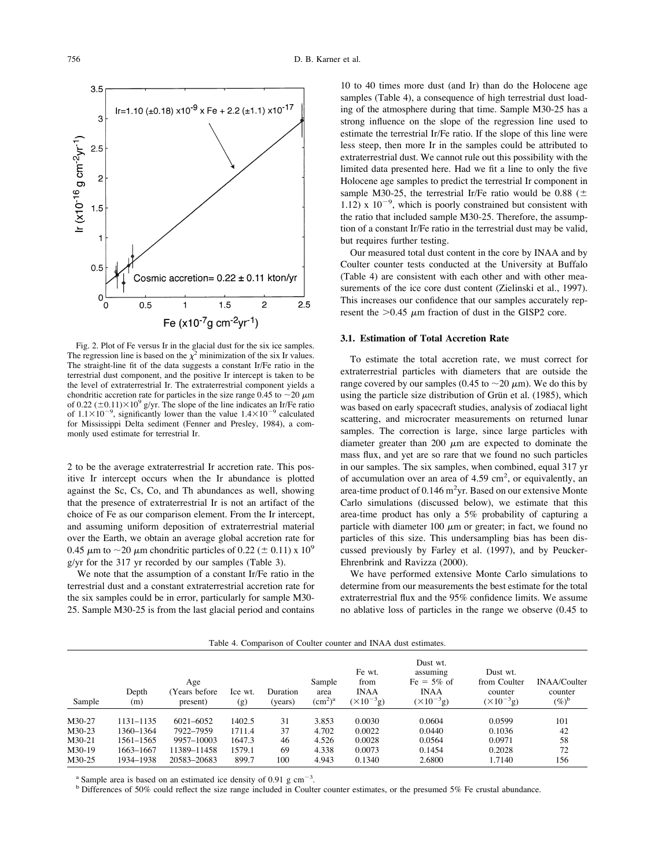<span id="page-5-0"></span>

Fig. 2. Plot of Fe versus Ir in the glacial dust for the six ice samples. The regression line is based on the  $\chi^2$  minimization of the six Ir values. The straight-line fit of the data suggests a constant Ir/Fe ratio in the terrestrial dust component, and the positive Ir intercept is taken to be the level of extraterrestrial Ir. The extraterrestrial component yields a chondritic accretion rate for particles in the size range  $0.45$  to  $\sim$  20  $\mu$ m of 0.22 ( $\pm$ 0.11) $\times$ 10<sup>9</sup> g/yr. The slope of the line indicates an Ir/Fe ratio of  $1.1 \times 10^{-9}$ , significantly lower than the value  $1.4 \times 10^{-9}$  calculated for Mississippi Delta sediment (Fenner and [Presley,](#page-10-0) 1984), a commonly used estimate for terrestrial Ir.

2 to be the average extraterrestrial Ir accretion rate. This positive Ir intercept occurs when the Ir abundance is plotted against the Sc, Cs, Co, and Th abundances as well, showing that the presence of extraterrestrial Ir is not an artifact of the choice of Fe as our comparison element. From the Ir intercept, and assuming uniform deposition of extraterrestrial material over the Earth, we obtain an average global accretion rate for 0.45  $\mu$ m to  $\sim$ 20  $\mu$ m chondritic particles of 0.22 ( $\pm$  0.11) x 10<sup>9</sup> g/yr for the 317 yr recorded by our samples ([Table](#page-4-0) 3).

We note that the assumption of a constant Ir/Fe ratio in the terrestrial dust and a constant extraterrestrial accretion rate for the six samples could be in error, particularly for sample M30- 25. Sample M30-25 is from the last glacial period and contains

10 to 40 times more dust (and Ir) than do the Holocene age samples (Table 4), a consequence of high terrestrial dust loading of the atmosphere during that time. Sample M30-25 has a strong influence on the slope of the regression line used to estimate the terrestrial Ir/Fe ratio. If the slope of this line were less steep, then more Ir in the samples could be attributed to extraterrestrial dust. We cannot rule out this possibility with the limited data presented here. Had we fit a line to only the five Holocene age samples to predict the terrestrial Ir component in sample M30-25, the terrestrial Ir/Fe ratio would be 0.88 ( $\pm$ 1.12) x  $10^{-9}$ , which is poorly constrained but consistent with the ratio that included sample M30-25. Therefore, the assumption of a constant Ir/Fe ratio in the terrestrial dust may be valid, but requires further testing.

Our measured total dust content in the core by INAA and by Coulter counter tests conducted at the University at Buffalo (Table 4) are consistent with each other and with other measurements of the ice core dust content [\(Zielinski](#page-10-0) et al., 1997). This increases our confidence that our samples accurately represent the  $>0.45$   $\mu$ m fraction of dust in the GISP2 core.

# **3.1. Estimation of Total Accretion Rate**

To estimate the total accretion rate, we must correct for extraterrestrial particles with diameters that are outside the range covered by our samples (0.45 to  $\sim$  20  $\mu$ m). We do this by using the particle size distribution of Grün et al. [\(1985\)](#page-10-0), which was based on early spacecraft studies, analysis of zodiacal light scattering, and microcrater measurements on returned lunar samples. The correction is large, since large particles with diameter greater than 200  $\mu$ m are expected to dominate the mass flux, and yet are so rare that we found no such particles in our samples. The six samples, when combined, equal 317 yr of accumulation over an area of  $4.59 \text{ cm}^2$ , or equivalently, an area-time product of  $0.146 \text{ m}^2\text{yr}$ . Based on our extensive Monte Carlo simulations (discussed below), we estimate that this area-time product has only a 5% probability of capturing a particle with diameter 100  $\mu$ m or greater; in fact, we found no particles of this size. This undersampling bias has been discussed previously by Farley et al. [\(1997\)](#page-10-0), and by [Peucker-](#page-11-0)[Ehrenbrink](#page-11-0) and Ravizza (2000).

We have performed extensive Monte Carlo simulations to determine from our measurements the best estimate for the total extraterrestrial flux and the 95% confidence limits. We assume no ablative loss of particles in the range we observe (0.45 to

Table 4. Comparison of Coulter counter and INAA dust estimates.

| Sample | Depth<br>(m) | Age<br>Years before<br>present) | Ice wt.<br>(g) | Duration<br>(years) | Sample<br>area<br>$\rm (cm^2)^a$ | Fe wt.<br>from<br><b>INAA</b><br>$(\times 10^{-3} g)$ | Dust wt.<br>assuming<br>$Fe = 5\%$ of<br><b>INAA</b><br>$(\times 10^{-3} g)$ | Dust wt.<br>from Coulter<br>counter<br>$(\times 10^{-3} g)$ | INAA/Coulter<br>counter<br>$(\%)^{\rm b}$ |
|--------|--------------|---------------------------------|----------------|---------------------|----------------------------------|-------------------------------------------------------|------------------------------------------------------------------------------|-------------------------------------------------------------|-------------------------------------------|
| M30-27 | 1131-1135    | 6021-6052                       | 1402.5         | 31                  | 3.853                            | 0.0030                                                | 0.0604                                                                       | 0.0599                                                      | 101                                       |
| M30-23 | 1360-1364    | 7922-7959                       | 1711.4         | 37                  | 4.702                            | 0.0022                                                | 0.0440                                                                       | 0.1036                                                      | 42                                        |
| M30-21 | 1561–1565    | 9957-10003                      | 1647.3         | 46                  | 4.526                            | 0.0028                                                | 0.0564                                                                       | 0.0971                                                      | 58                                        |
| M30-19 | 1663-1667    | 11389-11458                     | 1579.1         | 69                  | 4.338                            | 0.0073                                                | 0.1454                                                                       | 0.2028                                                      | 72                                        |
| M30-25 | 1934-1938    | 20583-20683                     | 899.7          | 100                 | 4.943                            | 0.1340                                                | 2.6800                                                                       | 1.7140                                                      | 156                                       |

Sample area is based on an estimated ice density of  $0.91 \text{ g cm}^{-3}$ .

<sup>b</sup> Differences of 50% could reflect the size range included in Coulter counter estimates, or the presumed 5% Fe crustal abundance.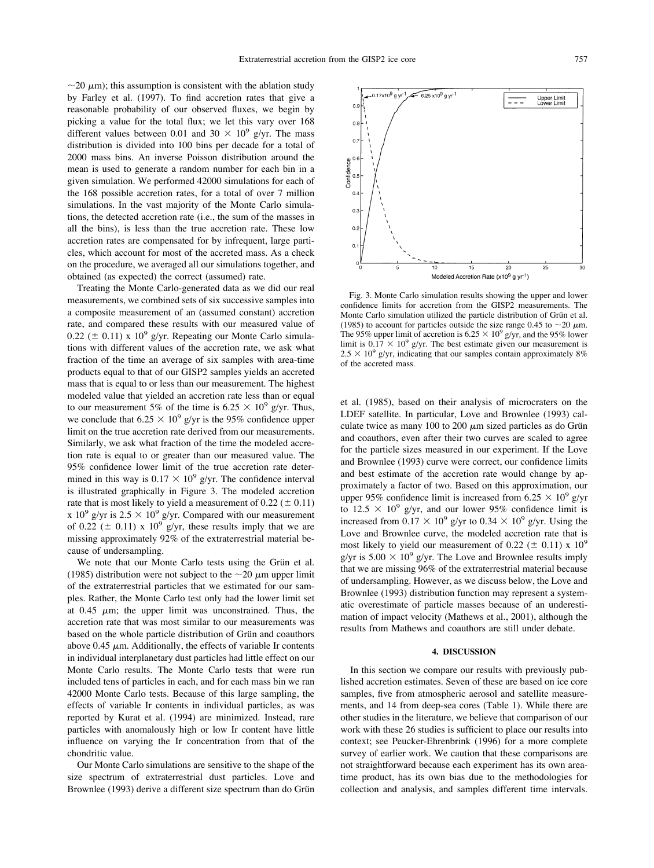$\sim$ 20  $\mu$ m); this assumption is consistent with the ablation study by Farley et al. [\(1997\).](#page-10-0) To find accretion rates that give a reasonable probability of our observed fluxes, we begin by picking a value for the total flux; we let this vary over 168 different values between 0.01 and 30  $\times$  10<sup>9</sup> g/yr. The mass distribution is divided into 100 bins per decade for a total of 2000 mass bins. An inverse Poisson distribution around the mean is used to generate a random number for each bin in a given simulation. We performed 42000 simulations for each of the 168 possible accretion rates, for a total of over 7 million simulations. In the vast majority of the Monte Carlo simulations, the detected accretion rate (i.e., the sum of the masses in all the bins), is less than the true accretion rate. These low accretion rates are compensated for by infrequent, large particles, which account for most of the accreted mass. As a check on the procedure, we averaged all our simulations together, and obtained (as expected) the correct (assumed) rate.

Treating the Monte Carlo-generated data as we did our real measurements, we combined sets of six successive samples into a composite measurement of an (assumed constant) accretion rate, and compared these results with our measured value of 0.22 ( $\pm$  0.11) x 10<sup>9</sup> g/yr. Repeating our Monte Carlo simulations with different values of the accretion rate, we ask what fraction of the time an average of six samples with area-time products equal to that of our GISP2 samples yields an accreted mass that is equal to or less than our measurement. The highest modeled value that yielded an accretion rate less than or equal to our measurement 5% of the time is  $6.25 \times 10^9$  g/yr. Thus, we conclude that  $6.25 \times 10^9$  g/yr is the 95% confidence upper limit on the true accretion rate derived from our measurements. Similarly, we ask what fraction of the time the modeled accretion rate is equal to or greater than our measured value. The 95% confidence lower limit of the true accretion rate determined in this way is  $0.17 \times 10^9$  g/yr. The confidence interval is illustrated graphically in Figure 3. The modeled accretion rate that is most likely to yield a measurement of  $0.22 (\pm 0.11)$ x  $10^9$  g/yr is  $2.5 \times 10^9$  g/yr. Compared with our measurement of 0.22 ( $\pm$  0.11) x 10<sup>9</sup> g/yr, these results imply that we are missing approximately 92% of the extraterrestrial material because of undersampling.

We note that our Monte Carlo tests using the Grün et al. [\(1985\)](#page-10-0) distribution were not subject to the  $\sim$ 20  $\mu$ m upper limit of the extraterrestrial particles that we estimated for our samples. Rather, the Monte Carlo test only had the lower limit set at 0.45  $\mu$ m; the upper limit was unconstrained. Thus, the accretion rate that was most similar to our measurements was based on the whole particle distribution of Grün and coauthors above 0.45  $\mu$ m. Additionally, the effects of variable Ir contents in individual interplanetary dust particles had little effect on our Monte Carlo results. The Monte Carlo tests that were run included tens of particles in each, and for each mass bin we ran 42000 Monte Carlo tests. Because of this large sampling, the effects of variable Ir contents in individual particles, as was reported by Kurat et al. [\(1994\)](#page-11-0) are minimized. Instead, rare particles with anomalously high or low Ir content have little influence on varying the Ir concentration from that of the chondritic value.

Our Monte Carlo simulations are sensitive to the shape of the size spectrum of extraterrestrial dust particles. [Love](#page-11-0) and [Brownlee](#page-11-0) (1993) derive a different size spectrum than do Grün



Fig. 3. Monte Carlo simulation results showing the upper and lower confidence limits for accretion from the GISP2 measurements. The Monte Carlo simulation utilized the particle distribution of Grün et al. [\(1985\)](#page-10-0) to account for particles outside the size range 0.45 to  $\sim$ 20  $\mu$ m. The 95% upper limit of accretion is  $6.25 \times 10^9$  g/yr, and the 95% lower limit is  $0.\overline{17} \times 10^9$  g/yr. The best estimate given our measurement is  $2.5 \times 10^9$  g/yr, indicating that our samples contain approximately 8% of the accreted mass.

et al. [\(1985\)](#page-10-0), based on their analysis of microcraters on the LDEF satellite. In particular, Love and [Brownlee](#page-11-0) (1993) calculate twice as many 100 to 200  $\mu$ m sized particles as do Grün and coauthors, even after their two curves are scaled to agree for the particle sizes measured in our experiment. If the [Love](#page-11-0) and [Brownlee](#page-11-0) (1993) curve were correct, our confidence limits and best estimate of the accretion rate would change by approximately a factor of two. Based on this approximation, our upper 95% confidence limit is increased from  $6.25 \times 10^9$  g/yr to  $12.5 \times 10^9$  g/yr, and our lower 95% confidence limit is increased from  $0.17 \times 10^9$  g/yr to  $0.34 \times 10^9$  g/yr. Using the Love and Brownlee curve, the modeled accretion rate that is most likely to yield our measurement of 0.22 ( $\pm$  0.11) x 10<sup>9</sup> g/yr is  $5.00 \times 10^9$  g/yr. The Love and Brownlee results imply that we are missing 96% of the extraterrestrial material because of undersampling. However, as we discuss below, the [Love](#page-11-0) and [Brownlee](#page-11-0) (1993) distribution function may represent a systematic overestimate of particle masses because of an underestimation of impact velocity [\(Mathews](#page-11-0) et al., 2001), although the results from Mathews and coauthors are still under debate.

# **4. DISCUSSION**

In this section we compare our results with previously published accretion estimates. Seven of these are based on ice core samples, five from atmospheric aerosol and satellite measurements, and 14 from deep-sea cores ([Table](#page-1-0) 1). While there are other studies in the literature, we believe that comparison of our work with these 26 studies is sufficient to place our results into context; see [Peucker-Ehrenbrink](#page-11-0) (1996) for a more complete survey of earlier work. We caution that these comparisons are not straightforward because each experiment has its own areatime product, has its own bias due to the methodologies for collection and analysis, and samples different time intervals.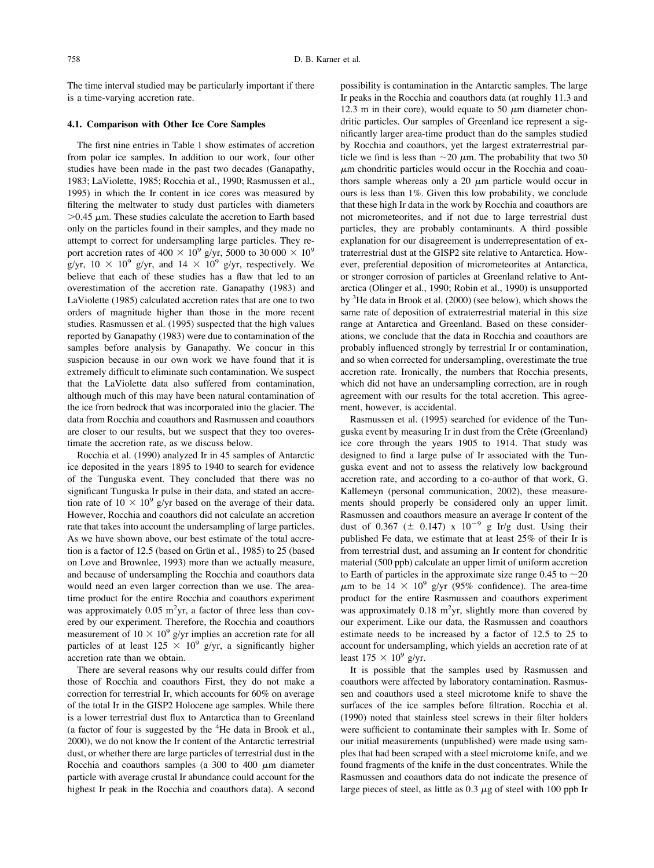The time interval studied may be particularly important if there is a time-varying accretion rate.

# **4.1. Comparison with Other Ice Core Samples**

The first nine entries in [Table](#page-1-0) 1 show estimates of accretion from polar ice samples. In addition to our work, four other studies have been made in the past two decades [\(Ganapathy,](#page-10-0) 1983; [LaViolette,](#page-10-0) 1985; Rocchia et al., 1990; Rasmussen et al., [1995\)](#page-10-0) in which the Ir content in ice cores was measured by filtering the meltwater to study dust particles with diameters  $>0.45$   $\mu$ m. These studies calculate the accretion to Earth based only on the particles found in their samples, and they made no attempt to correct for undersampling large particles. They report accretion rates of  $400 \times 10^9$  g/yr, 5000 to 30 000  $\times 10^9$ g/yr,  $10 \times 10^9$  g/yr, and  $14 \times 10^9$  g/yr, respectively. We believe that each of these studies has a flaw that led to an overestimation of the accretion rate. [Ganapathy](#page-10-0) (1983) and [LaViolette](#page-11-0) (1985) calculated accretion rates that are one to two orders of magnitude higher than those in the more recent studies. [Rasmussen](#page-11-0) et al. (1995) suspected that the high values reported by [Ganapathy](#page-10-0) (1983) were due to contamination of the samples before analysis by Ganapathy. We concur in this suspicion because in our own work we have found that it is extremely difficult to eliminate such contamination. We suspect that the LaViolette data also suffered from contamination, although much of this may have been natural contamination of the ice from bedrock that was incorporated into the glacier. The data from Rocchia and coauthors and Rasmussen and coauthors are closer to our results, but we suspect that they too overestimate the accretion rate, as we discuss below.

[Rocchia](#page-11-0) et al. (1990) analyzed Ir in 45 samples of Antarctic ice deposited in the years 1895 to 1940 to search for evidence of the Tunguska event. They concluded that there was no significant Tunguska Ir pulse in their data, and stated an accretion rate of  $10 \times 10^9$  g/yr based on the average of their data. However, Rocchia and coauthors did not calculate an accretion rate that takes into account the undersampling of large particles. As we have shown above, our best estimate of the total accretion is a factor of  $12.5$  (based on Grün et al., [1985\)](#page-10-0) to  $25$  (based on Love and [Brownlee,](#page-11-0) 1993) more than we actually measure, and because of undersampling the Rocchia and coauthors data would need an even larger correction than we use. The areatime product for the entire Rocchia and coauthors experiment was approximately 0.05 m<sup>2</sup>yr, a factor of three less than covered by our experiment. Therefore, the Rocchia and coauthors measurement of  $10 \times 10^9$  g/yr implies an accretion rate for all particles of at least  $125 \times 10^9$  g/yr, a significantly higher accretion rate than we obtain.

There are several reasons why our results could differ from those of Rocchia and coauthors First, they do not make a correction for terrestrial Ir, which accounts for 60% on average of the total Ir in the GISP2 Holocene age samples. While there is a lower terrestrial dust flux to Antarctica than to Greenland (a factor of four is suggested by the <sup>4</sup>He data in [Brook](#page-10-0) et al., [2000\)](#page-10-0), we do not know the Ir content of the Antarctic terrestrial dust, or whether there are large particles of terrestrial dust in the Rocchia and coauthors samples (a 300 to 400  $\mu$ m diameter particle with average crustal Ir abundance could account for the highest Ir peak in the Rocchia and coauthors data). A second

possibility is contamination in the Antarctic samples. The large Ir peaks in the Rocchia and coauthors data (at roughly 11.3 and 12.3 m in their core), would equate to 50  $\mu$ m diameter chondritic particles. Our samples of Greenland ice represent a significantly larger area-time product than do the samples studied by Rocchia and coauthors, yet the largest extraterrestrial particle we find is less than  $\sim$  20  $\mu$ m. The probability that two 50  $\mu$ m chondritic particles would occur in the Rocchia and coauthors sample whereas only a 20  $\mu$ m particle would occur in ours is less than 1%. Given this low probability, we conclude that these high Ir data in the work by Rocchia and coauthors are not micrometeorites, and if not due to large terrestrial dust particles, they are probably contaminants. A third possible explanation for our disagreement is underrepresentation of extraterrestrial dust at the GISP2 site relative to Antarctica. However, preferential deposition of micrometeorites at Antarctica, or stronger corrosion of particles at Greenland relative to Antarctica [\(Olinger](#page-11-0) et al., 1990; Robin et al., 1990) is unsupported by <sup>3</sup>He data in Brook et al. [\(2000\)](#page-10-0) (see below), which shows the same rate of deposition of extraterrestrial material in this size range at Antarctica and Greenland. Based on these considerations, we conclude that the data in Rocchia and coauthors are probably influenced strongly by terrestrial Ir or contamination, and so when corrected for undersampling, overestimate the true accretion rate. Ironically, the numbers that Rocchia presents, which did not have an undersampling correction, are in rough agreement with our results for the total accretion. This agreement, however, is accidental.

[Rasmussen](#page-11-0) et al. (1995) searched for evidence of the Tunguska event by measuring Ir in dust from the Crête (Greenland) ice core through the years 1905 to 1914. That study was designed to find a large pulse of Ir associated with the Tunguska event and not to assess the relatively low background accretion rate, and according to a co-author of that work, G. Kallemeyn (personal communication, 2002), these measurements should properly be considered only an upper limit. Rasmussen and coauthors measure an average Ir content of the dust of 0.367 ( $\pm$  0.147) x 10<sup>-9</sup> g Ir/g dust. Using their published Fe data, we estimate that at least 25% of their Ir is from terrestrial dust, and assuming an Ir content for chondritic material (500 ppb) calculate an upper limit of uniform accretion to Earth of particles in the approximate size range 0.45 to  $\sim$ 20  $\mu$ m to be 14 × 10<sup>9</sup> g/yr (95% confidence). The area-time product for the entire Rasmussen and coauthors experiment was approximately  $0.18 \text{ m}^2$ yr, slightly more than covered by our experiment. Like our data, the Rasmussen and coauthors estimate needs to be increased by a factor of 12.5 to 25 to account for undersampling, which yields an accretion rate of at least  $175 \times 10^9$  g/yr.

It is possible that the samples used by Rasmussen and coauthors were affected by laboratory contamination. Rasmussen and coauthors used a steel microtome knife to shave the surfaces of the ice samples before filtration. [Rocchia](#page-11-0) et al. [\(1990\)](#page-11-0) noted that stainless steel screws in their filter holders were sufficient to contaminate their samples with Ir. Some of our initial measurements (unpublished) were made using samples that had been scraped with a steel microtome knife, and we found fragments of the knife in the dust concentrates. While the Rasmussen and coauthors data do not indicate the presence of large pieces of steel, as little as  $0.3 \mu$ g of steel with 100 ppb Ir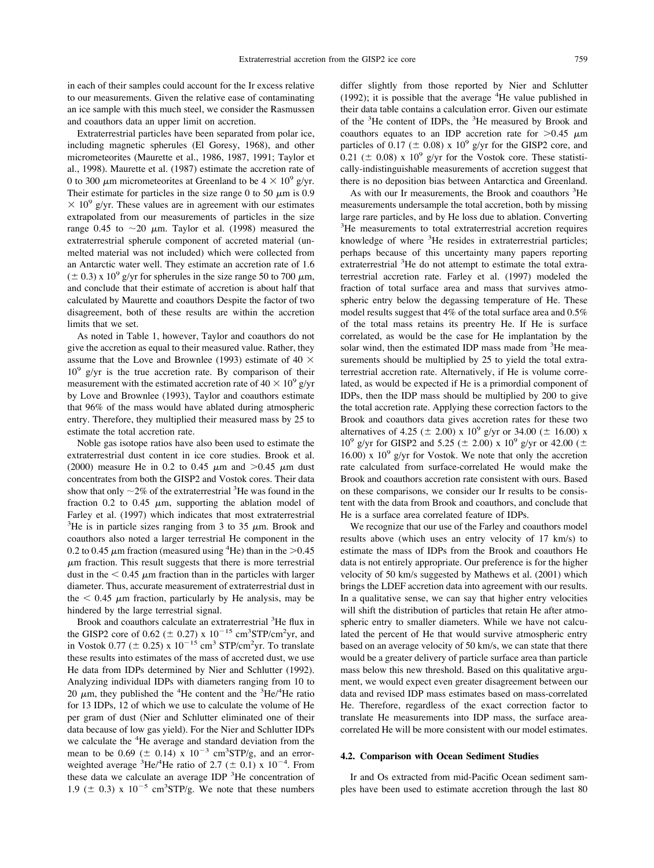in each of their samples could account for the Ir excess relative to our measurements. Given the relative ease of contaminating an ice sample with this much steel, we consider the Rasmussen and coauthors data an upper limit on accretion.

Extraterrestrial particles have been separated from polar ice, including magnetic spherules (El [Goresy,](#page-10-0) 1968), and other micrometeorites [\(Maurette](#page-11-0) et al., 1986, 1987, 1991; [Taylor](#page-11-0) et al., [1998\).](#page-11-0) [Maurette](#page-11-0) et al. (1987) estimate the accretion rate of 0 to 300  $\mu$ m micrometeorites at Greenland to be  $4 \times 10^9$  g/yr. Their estimate for particles in the size range 0 to 50  $\mu$ m is 0.9  $\times$  10<sup>9</sup> g/yr. These values are in agreement with our estimates extrapolated from our measurements of particles in the size range 0.45 to  $\sim$ 20  $\mu$ m. [Taylor](#page-11-0) et al. (1998) measured the extraterrestrial spherule component of accreted material (unmelted material was not included) which were collected from an Antarctic water well. They estimate an accretion rate of 1.6  $(\pm 0.3)$  x 10<sup>9</sup> g/yr for spherules in the size range 50 to 700  $\mu$ m, and conclude that their estimate of accretion is about half that calculated by Maurette and coauthors Despite the factor of two disagreement, both of these results are within the accretion limits that we set.

As noted in [Table](#page-1-0) 1, however, Taylor and coauthors do not give the accretion as equal to their measured value. Rather, they assume that the Love and [Brownlee](#page-11-0) (1993) estimate of 40  $\times$  $10^9$  g/yr is the true accretion rate. By comparison of their measurement with the estimated accretion rate of  $40 \times 10^9$  g/yr by Love and [Brownlee](#page-11-0) (1993), Taylor and coauthors estimate that 96% of the mass would have ablated during atmospheric entry. Therefore, they multiplied their measured mass by 25 to estimate the total accretion rate.

Noble gas isotope ratios have also been used to estimate the extraterrestrial dust content in ice core studies. [Brook](#page-10-0) et al. [\(2000\)](#page-10-0) measure He in 0.2 to 0.45  $\mu$ m and  $>0.45$   $\mu$ m dust concentrates from both the GISP2 and Vostok cores. Their data show that only  $\sim$ 2% of the extraterrestrial <sup>3</sup>He was found in the fraction 0.2 to 0.45  $\mu$ m, supporting the ablation model of Farley et al. [\(1997\)](#page-10-0) which indicates that most extraterrestrial <sup>3</sup>He is in particle sizes ranging from 3 to 35  $\mu$ m. Brook and coauthors also noted a larger terrestrial He component in the 0.2 to 0.45  $\mu$ m fraction (measured using <sup>4</sup>He) than in the >0.45  $\mu$ m fraction. This result suggests that there is more terrestrial dust in the  $< 0.45 \mu m$  fraction than in the particles with larger diameter. Thus, accurate measurement of extraterrestrial dust in the  $< 0.45$   $\mu$ m fraction, particularly by He analysis, may be hindered by the large terrestrial signal.

Brook and coauthors calculate an extraterrestrial <sup>3</sup>He flux in the GISP2 core of 0.62 ( $\pm$  0.27) x 10<sup>-15</sup> cm<sup>3</sup>STP/cm<sup>2</sup>yr, and in Vostok 0.77 ( $\pm$  0.25) x 10<sup>-15</sup> cm<sup>3</sup> STP/cm<sup>2</sup>yr. To translate these results into estimates of the mass of accreted dust, we use He data from IDPs determined by Nier and [Schlutter](#page-11-0) (1992). Analyzing individual IDPs with diameters ranging from 10 to 20  $\mu$ m, they published the <sup>4</sup>He content and the <sup>3</sup>He/<sup>4</sup>He ratio for 13 IDPs, 12 of which we use to calculate the volume of He per gram of dust (Nier and Schlutter eliminated one of their data because of low gas yield). For the Nier and Schlutter IDPs we calculate the <sup>4</sup>He average and standard deviation from the mean to be 0.69 ( $\pm$  0.14) x 10<sup>-3</sup> cm<sup>3</sup>STP/g, and an errorweighted average <sup>3</sup>He/<sup>4</sup>He ratio of 2.7 ( $\pm$  0.1) x 10<sup>-4</sup>. From these data we calculate an average IDP <sup>3</sup>He concentration of 1.9 ( $\pm$  0.3) x 10<sup>-5</sup> cm<sup>3</sup>STP/g. We note that these numbers

differ slightly from those reported by Nier and [Schlutter](#page-11-0) [\(1992\)](#page-11-0); it is possible that the average  ${}^{4}$ He value published in their data table contains a calculation error. Given our estimate of the <sup>3</sup>He content of IDPs, the <sup>3</sup>He measured by Brook and coauthors equates to an IDP accretion rate for  $>0.45 \mu$ m particles of 0.17 ( $\pm$  0.08) x 10<sup>9</sup> g/yr for the GISP2 core, and 0.21 ( $\pm$  0.08) x 10<sup>9</sup> g/yr for the Vostok core. These statistically-indistinguishable measurements of accretion suggest that there is no deposition bias between Antarctica and Greenland.

As with our Ir measurements, the Brook and coauthors <sup>3</sup>He measurements undersample the total accretion, both by missing large rare particles, and by He loss due to ablation. Converting <sup>3</sup> <sup>3</sup>He measurements to total extraterrestrial accretion requires knowledge of where <sup>3</sup>He resides in extraterrestrial particles; perhaps because of this uncertainty many papers reporting extraterrestrial <sup>3</sup>He do not attempt to estimate the total extraterrestrial accretion rate. Farley et al. [\(1997\)](#page-10-0) modeled the fraction of total surface area and mass that survives atmospheric entry below the degassing temperature of He. These model results suggest that 4% of the total surface area and 0.5% of the total mass retains its preentry He. If He is surface correlated, as would be the case for He implantation by the solar wind, then the estimated IDP mass made from <sup>3</sup>He measurements should be multiplied by 25 to yield the total extraterrestrial accretion rate. Alternatively, if He is volume correlated, as would be expected if He is a primordial component of IDPs, then the IDP mass should be multiplied by 200 to give the total accretion rate. Applying these correction factors to the Brook and coauthors data gives accretion rates for these two alternatives of 4.25 ( $\pm$  2.00) x 10<sup>9</sup> g/yr or 34.00 ( $\pm$  16.00) x  $10^9$  g/yr for GISP2 and 5.25 ( $\pm$  2.00) x  $10^9$  g/yr or 42.00 ( $\pm$ 16.00) x  $10^9$  g/yr for Vostok. We note that only the accretion rate calculated from surface-correlated He would make the Brook and coauthors accretion rate consistent with ours. Based on these comparisons, we consider our Ir results to be consistent with the data from Brook and coauthors, and conclude that He is a surface area correlated feature of IDPs.

We recognize that our use of the Farley and coauthors model results above (which uses an entry velocity of 17 km/s) to estimate the mass of IDPs from the Brook and coauthors He data is not entirely appropriate. Our preference is for the higher velocity of 50 km/s suggested by [Mathews](#page-11-0) et al. (2001) which brings the LDEF accretion data into agreement with our results. In a qualitative sense, we can say that higher entry velocities will shift the distribution of particles that retain He after atmospheric entry to smaller diameters. While we have not calculated the percent of He that would survive atmospheric entry based on an average velocity of 50 km/s, we can state that there would be a greater delivery of particle surface area than particle mass below this new threshold. Based on this qualitative argument, we would expect even greater disagreement between our data and revised IDP mass estimates based on mass-correlated He. Therefore, regardless of the exact correction factor to translate He measurements into IDP mass, the surface areacorrelated He will be more consistent with our model estimates.

#### **4.2. Comparison with Ocean Sediment Studies**

Ir and Os extracted from mid-Pacific Ocean sediment samples have been used to estimate accretion through the last 80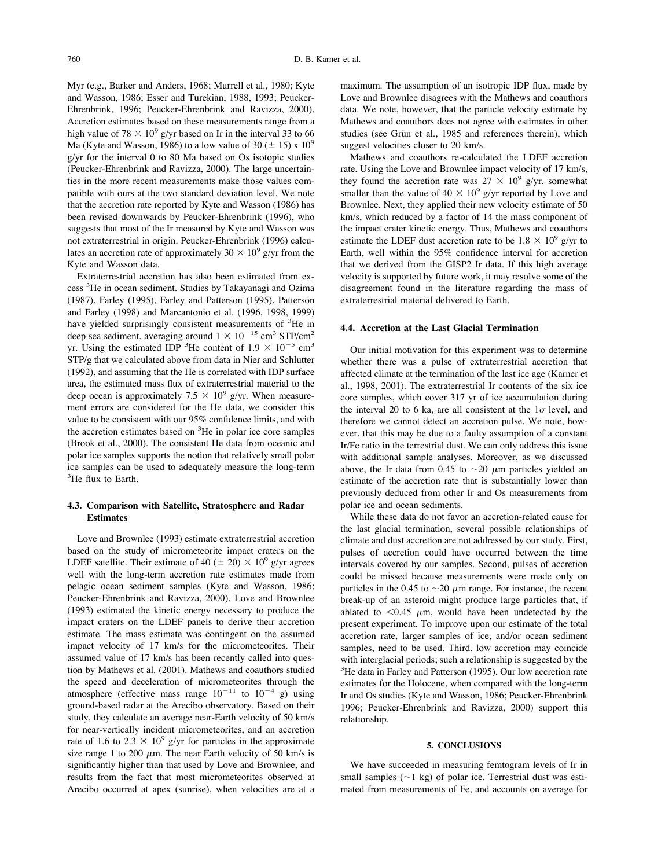Myr (e.g., Barker and [Anders,](#page-10-0) 1968; Murrell et al., 1980; Kyte and Wasson, 1986; Esser and [Turekian,](#page-10-0) 1988, 1993; Peucker-Ehrenbrink, 1996; [Peucker-Ehrenbrink](#page-10-0) and Ravizza, 2000). Accretion estimates based on these measurements range from a high value of 78  $\times$  10<sup>9</sup> g/yr based on Ir in the interval 33 to 66 Ma (Kyte and [Wasson,](#page-11-0) 1986) to a low value of 30 ( $\pm$  15) x 10<sup>9</sup> g/yr for the interval 0 to 80 Ma based on Os isotopic studies [\(Peucker-Ehrenbrink](#page-11-0) and Ravizza, 2000). The large uncertainties in the more recent measurements make those values compatible with ours at the two standard deviation level. We note that the accretion rate reported by Kyte and [Wasson](#page-11-0) (1986) has been revised downwards by [Peucker-Ehrenbrink](#page-11-0) (1996), who suggests that most of the Ir measured by Kyte and Wasson was not extraterrestrial in origin. [Peucker-Ehrenbrink](#page-11-0) (1996) calculates an accretion rate of approximately  $30 \times 10^9$  g/yr from the Kyte and Wasson data.

Extraterrestrial accretion has also been estimated from ex-cess<sup>3</sup>He in ocean sediment. Studies by [Takayanagi](#page-10-0) and Ozima (1987), Farley (1995), Farley and [Patterson](#page-10-0) (1995), Patterson and Farley [\(1998\)](#page-10-0) and [Marcantonio](#page-11-0) et al. (1996, 1998, 1999) have yielded surprisingly consistent measurements of <sup>3</sup>He in deep sea sediment, averaging around  $1 \times 10^{-15}$  cm<sup>3</sup> STP/cm<sup>2</sup> yr. Using the estimated IDP <sup>3</sup>He content of  $1.9 \times 10^{-5}$  cm<sup>3</sup> STP/g that we calculated above from data in Nier and [Schlutter](#page-11-0) [\(1992\)](#page-11-0), and assuming that the He is correlated with IDP surface area, the estimated mass flux of extraterrestrial material to the deep ocean is approximately 7.5  $\times$  10<sup>9</sup> g/yr. When measurement errors are considered for the He data, we consider this value to be consistent with our 95% confidence limits, and with the accretion estimates based on <sup>3</sup>He in polar ice core samples [\(Brook](#page-10-0) et al., 2000). The consistent He data from oceanic and polar ice samples supports the notion that relatively small polar ice samples can be used to adequately measure the long-term  ${}^{3}$ He flux to Earth.

# **4.3. Comparison with Satellite, Stratosphere and Radar Estimates**

Love and [Brownlee](#page-11-0) (1993) estimate extraterrestrial accretion based on the study of micrometeorite impact craters on the LDEF satellite. Their estimate of 40 ( $\pm$  20)  $\times$  10<sup>9</sup> g/yr agrees well with the long-term accretion rate estimates made from pelagic ocean sediment samples (Kyte and [Wasson,](#page-11-0) 1986; [Peucker-Ehrenbrink](#page-11-0) and Ravizza, 2000). Love and [Brownlee](#page-11-0) [\(1993\)](#page-11-0) estimated the kinetic energy necessary to produce the impact craters on the LDEF panels to derive their accretion estimate. The mass estimate was contingent on the assumed impact velocity of 17 km/s for the micrometeorites. Their assumed value of 17 km/s has been recently called into question by [Mathews](#page-11-0) et al. (2001). Mathews and coauthors studied the speed and deceleration of micrometeorites through the atmosphere (effective mass range  $10^{-11}$  to  $10^{-4}$  g) using ground-based radar at the Arecibo observatory. Based on their study, they calculate an average near-Earth velocity of 50 km/s for near-vertically incident micrometeorites, and an accretion rate of 1.6 to 2.3  $\times$  10<sup>9</sup> g/yr for particles in the approximate size range 1 to 200  $\mu$ m. The near Earth velocity of 50 km/s is significantly higher than that used by Love and Brownlee, and results from the fact that most micrometeorites observed at Arecibo occurred at apex (sunrise), when velocities are at a

maximum. The assumption of an isotropic IDP flux, made by Love and Brownlee disagrees with the Mathews and coauthors data. We note, however, that the particle velocity estimate by Mathews and coauthors does not agree with estimates in other studies (see Grün et al., 1985 and references therein), which suggest velocities closer to 20 km/s.

Mathews and coauthors re-calculated the LDEF accretion rate. Using the Love and Brownlee impact velocity of 17 km/s, they found the accretion rate was  $27 \times 10^9$  g/yr, somewhat smaller than the value of  $40 \times 10^9$  g/yr reported by Love and Brownlee. Next, they applied their new velocity estimate of 50 km/s, which reduced by a factor of 14 the mass component of the impact crater kinetic energy. Thus, Mathews and coauthors estimate the LDEF dust accretion rate to be  $1.8 \times 10^9$  g/yr to Earth, well within the 95% confidence interval for accretion that we derived from the GISP2 Ir data. If this high average velocity is supported by future work, it may resolve some of the disagreement found in the literature regarding the mass of extraterrestrial material delivered to Earth.

## **4.4. Accretion at the Last Glacial Termination**

Our initial motivation for this experiment was to determine whether there was a pulse of extraterrestrial accretion that affected climate at the termination of the last ice age [\(Karner](#page-10-0) et al., 1998, [2001\).](#page-10-0) The extraterrestrial Ir contents of the six ice core samples, which cover 317 yr of ice accumulation during the interval 20 to 6 ka, are all consistent at the  $1\sigma$  level, and therefore we cannot detect an accretion pulse. We note, however, that this may be due to a faulty assumption of a constant Ir/Fe ratio in the terrestrial dust. We can only address this issue with additional sample analyses. Moreover, as we discussed above, the Ir data from 0.45 to  $\sim$ 20  $\mu$ m particles yielded an estimate of the accretion rate that is substantially lower than previously deduced from other Ir and Os measurements from polar ice and ocean sediments.

While these data do not favor an accretion-related cause for the last glacial termination, several possible relationships of climate and dust accretion are not addressed by our study. First, pulses of accretion could have occurred between the time intervals covered by our samples. Second, pulses of accretion could be missed because measurements were made only on particles in the 0.45 to  $\sim$ 20  $\mu$ m range. For instance, the recent break-up of an asteroid might produce large particles that, if ablated to  $< 0.45$   $\mu$ m, would have been undetected by the present experiment. To improve upon our estimate of the total accretion rate, larger samples of ice, and/or ocean sediment samples, need to be used. Third, low accretion may coincide with interglacial periods; such a relationship is suggested by the <sup>3</sup>He data in Farley and [Patterson](#page-10-0) (1995). Our low accretion rate estimates for the Holocene, when compared with the long-term Ir and Os studies (Kyte and Wasson, 1986; [Peucker-Ehrenbrink](#page-11-0) 1996; [Peucker-Ehrenbrink](#page-11-0) and Ravizza, 2000) support this relationship.

# **5. CONCLUSIONS**

We have succeeded in measuring femtogram levels of Ir in small samples  $(\sim 1 \text{ kg})$  of polar ice. Terrestrial dust was estimated from measurements of Fe, and accounts on average for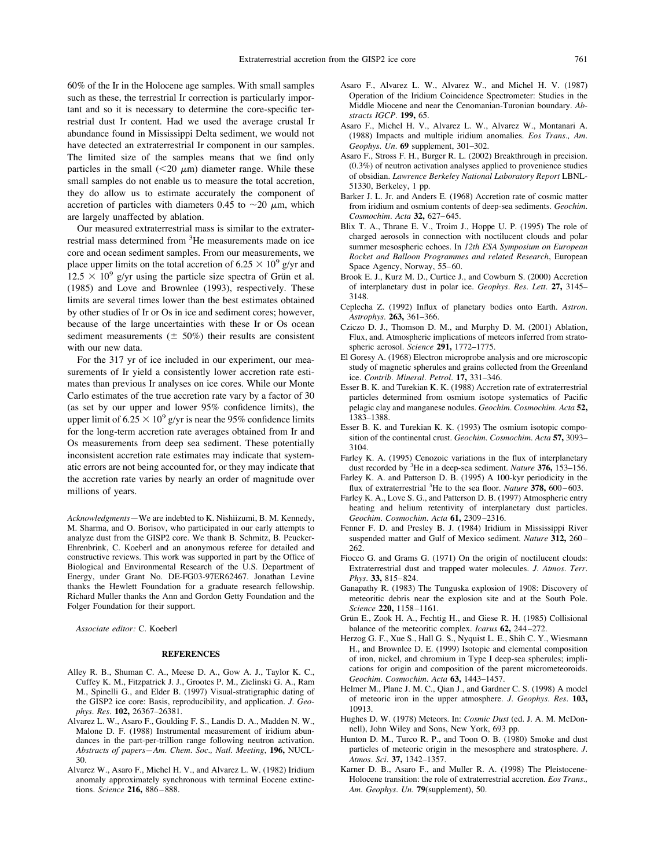<span id="page-10-0"></span>60% of the Ir in the Holocene age samples. With small samples such as these, the terrestrial Ir correction is particularly important and so it is necessary to determine the core-specific terrestrial dust Ir content. Had we used the average crustal Ir abundance found in Mississippi Delta sediment, we would not have detected an extraterrestrial Ir component in our samples. The limited size of the samples means that we find only particles in the small  $(<20 \mu m)$  diameter range. While these small samples do not enable us to measure the total accretion, they do allow us to estimate accurately the component of accretion of particles with diameters 0.45 to  $\sim$ 20  $\mu$ m, which are largely unaffected by ablation.

Our measured extraterrestrial mass is similar to the extraterrestrial mass determined from <sup>3</sup>He measurements made on ice core and ocean sediment samples. From our measurements, we place upper limits on the total accretion of  $6.25 \times 10^9$  g/yr and  $12.5 \times 10^9$  g/yr using the particle size spectra of Grün et al. (1985) and Love and [Brownlee](#page-11-0) (1993), respectively. These limits are several times lower than the best estimates obtained by other studies of Ir or Os in ice and sediment cores; however, because of the large uncertainties with these Ir or Os ocean sediment measurements  $(± 50%)$  their results are consistent with our new data.

For the 317 yr of ice included in our experiment, our measurements of Ir yield a consistently lower accretion rate estimates than previous Ir analyses on ice cores. While our Monte Carlo estimates of the true accretion rate vary by a factor of 30 (as set by our upper and lower 95% confidence limits), the upper limit of  $6.25 \times 10^9$  g/yr is near the 95% confidence limits for the long-term accretion rate averages obtained from Ir and Os measurements from deep sea sediment. These potentially inconsistent accretion rate estimates may indicate that systematic errors are not being accounted for, or they may indicate that the accretion rate varies by nearly an order of magnitude over millions of years.

*Acknowledgments*—We are indebted to K. Nishiizumi, B. M. Kennedy, M. Sharma, and O. Borisov, who participated in our early attempts to analyze dust from the GISP2 core. We thank B. Schmitz, B. Peucker-Ehrenbrink, C. Koeberl and an anonymous referee for detailed and constructive reviews. This work was supported in part by the Office of Biological and Environmental Research of the U.S. Department of Energy, under Grant No. DE-FG03-97ER62467. Jonathan Levine thanks the Hewlett Foundation for a graduate research fellowship. Richard Muller thanks the Ann and Gordon Getty Foundation and the Folger Foundation for their support.

*Associate editor:* C. Koeberl

#### **REFERENCES**

- Alley R. B., Shuman C. A., Meese D. A., Gow A. J., Taylor K. C., Cuffey K. M., Fitzpatrick J. J., Grootes P. M., Zielinski G. A., Ram M., Spinelli G., and Elder B. (1997) Visual-stratigraphic dating of the GISP2 ice core: Basis, reproducibility, and application. *J. Geophys. Res.* **102,** 26367–26381.
- Alvarez L. W., Asaro F., Goulding F. S., Landis D. A., Madden N. W., Malone D. F. (1988) Instrumental measurement of iridium abundances in the part-per-trillion range following neutron activation. *Abstracts of papers—Am. Chem. Soc., Natl. Meeting*, **196,** NUCL-30.
- Alvarez W., Asaro F., Michel H. V., and Alvarez L. W. (1982) Iridium anomaly approximately synchronous with terminal Eocene extinctions. *Science* **216,** 886–888.
- Asaro F., Alvarez L. W., Alvarez W., and Michel H. V. (1987) Operation of the Iridium Coincidence Spectrometer: Studies in the Middle Miocene and near the Cenomanian-Turonian boundary. *Abstracts IGCP.* **199,** 65.
- Asaro F., Michel H. V., Alvarez L. W., Alvarez W., Montanari A. (1988) Impacts and multiple iridium anomalies. *Eos Trans., Am. Geophys. Un.* **69** supplement, 301–302.
- Asaro F., Stross F. H., Burger R. L. (2002) Breakthrough in precision. (0.3%) of neutron activation analyses applied to provenience studies of obsidian. *Lawrence Berkeley National Laboratory Report* LBNL-51330, Berkeley, 1 pp.
- Barker J. L. Jr. and Anders E. (1968) Accretion rate of cosmic matter from iridium and osmium contents of deep-sea sediments. *Geochim. Cosmochim. Acta* **32,** 627–645.
- Blix T. A., Thrane E. V., Troim J., Hoppe U. P. (1995) The role of charged aerosols in connection with noctilucent clouds and polar summer mesospheric echoes. In *12th ESA Symposium on European Rocket and Balloon Programmes and related Research*, European Space Agency, Norway, 55–60.
- Brook E. J., Kurz M. D., Curtice J., and Cowburn S. (2000) Accretion of interplanetary dust in polar ice. *Geophys. Res. Lett.* **27,** 3145– 3148.
- Ceplecha Z. (1992) Influx of planetary bodies onto Earth. *Astron. Astrophys.* **263,** 361–366.
- Cziczo D. J., Thomson D. M., and Murphy D. M. (2001) Ablation, Flux, and. Atmospheric implications of meteors inferred from stratospheric aerosol. *Science* **291,** 1772–1775.
- El Goresy A. (1968) Electron microprobe analysis and ore microscopic study of magnetic spherules and grains collected from the Greenland ice. *Contrib. Mineral. Petrol.* **17,** 331–346.
- Esser B. K. and Turekian K. K. (1988) Accretion rate of extraterrestrial particles determined from osmium isotope systematics of Pacific pelagic clay and manganese nodules. *Geochim. Cosmochim. Acta* **52,** 1383–1388.
- Esser B. K. and Turekian K. K. (1993) The osmium isotopic composition of the continental crust. *Geochim. Cosmochim. Acta* **57,** 3093– 3104.
- Farley K. A. (1995) Cenozoic variations in the flux of interplanetary dust recorded by <sup>3</sup> He in a deep-sea sediment. *Nature* **376,** 153–156.
- Farley K. A. and Patterson D. B. (1995) A 100-kyr periodicity in the flux of extraterrestrial <sup>3</sup> He to the sea floor. *Nature* **378,** 600–603.
- Farley K. A., Love S. G., and Patterson D. B. (1997) Atmospheric entry heating and helium retentivity of interplanetary dust particles. *Geochim. Cosmochim. Acta* **61,** 2309–2316.
- Fenner F. D. and Presley B. J. (1984) Iridium in Mississippi River suspended matter and Gulf of Mexico sediment. *Nature* **312,** 260– 262.
- Fiocco G. and Grams G. (1971) On the origin of noctilucent clouds: Extraterrestrial dust and trapped water molecules. *J. Atmos. Terr. Phys.* **33,** 815–824.
- Ganapathy R. (1983) The Tunguska explosion of 1908: Discovery of meteoritic debris near the explosion site and at the South Pole. *Science* **220,** 1158–1161.
- Grün E., Zook H. A., Fechtig H., and Giese R. H. (1985) Collisional balance of the meteoritic complex. *Icarus* **62,** 244–272.
- Herzog G. F., Xue S., Hall G. S., Nyquist L. E., Shih C. Y., Wiesmann H., and Brownlee D. E. (1999) Isotopic and elemental composition of iron, nickel, and chromium in Type I deep-sea spherules; implications for origin and composition of the parent micrometeoroids. *Geochim. Cosmochim. Acta* **63,** 1443–1457.
- Helmer M., Plane J. M. C., Qian J., and Gardner C. S. (1998) A model of meteoric iron in the upper atmosphere. *J. Geophys. Res.* **103,** 10913.
- Hughes D. W. (1978) Meteors. In: *Cosmic Dust* (ed. J. A. M. McDonnell), John Wiley and Sons, New York, 693 pp.
- Hunton D. M., Turco R. P., and Toon O. B. (1980) Smoke and dust particles of meteoric origin in the mesosphere and stratosphere. *J. Atmos. Sci.* **37,** 1342–1357.
- Karner D. B., Asaro F., and Muller R. A. (1998) The Pleistocene-Holocene transition: the role of extraterrestrial accretion. *Eos Trans., Am. Geophys. Un.* **79**(supplement), 50.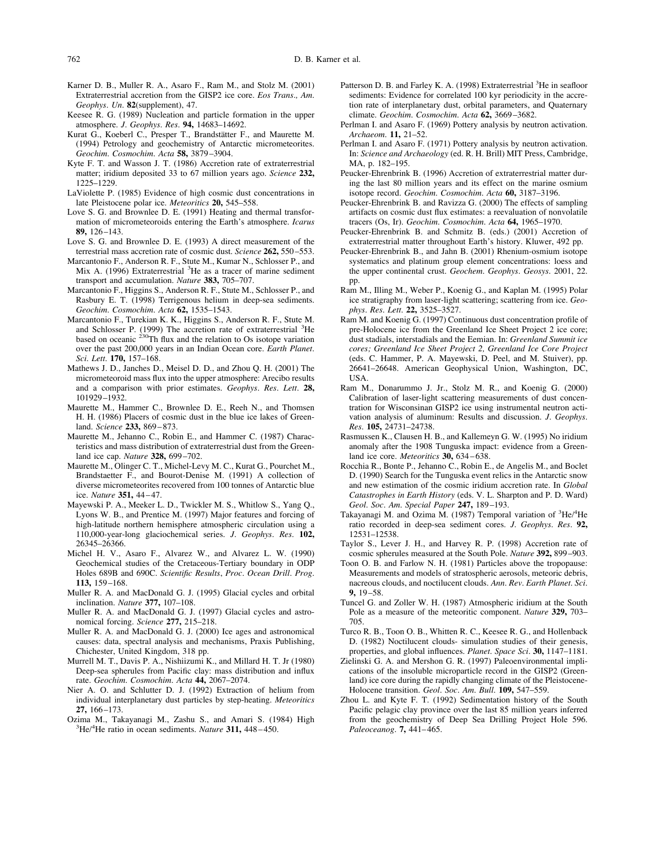- <span id="page-11-0"></span>762 D. B. Karner et al.
- Karner D. B., Muller R. A., Asaro F., Ram M., and Stolz M. (2001) Extraterrestrial accretion from the GISP2 ice core. *Eos Trans., Am. Geophys. Un.* **82**(supplement), 47.
- Keesee R. G. (1989) Nucleation and particle formation in the upper atmosphere. *J. Geophys. Res.* **94,** 14683–14692.
- Kurat G., Koeberl C., Presper T., Brandstätter F., and Maurette M. (1994) Petrology and geochemistry of Antarctic micrometeorites. *Geochim. Cosmochim. Acta* **58,** 3879–3904.
- Kyte F. T. and Wasson J. T. (1986) Accretion rate of extraterrestrial matter; iridium deposited 33 to 67 million years ago. *Science* **232,** 1225–1229.
- LaViolette P. (1985) Evidence of high cosmic dust concentrations in late Pleistocene polar ice. *Meteoritics* **20,** 545–558.
- Love S. G. and Brownlee D. E. (1991) Heating and thermal transformation of micrometeoroids entering the Earth's atmosphere. *Icarus* **89,** 126–143.
- Love S. G. and Brownlee D. E. (1993) A direct measurement of the terrestrial mass accretion rate of cosmic dust. *Science* **262,** 550–553.
- Marcantonio F., Anderson R. F., Stute M., Kumar N., Schlosser P., and Mix A. (1996) Extraterrestrial <sup>3</sup>He as a tracer of marine sediment transport and accumulation. *Nature* **383,** 705–707.
- Marcantonio F., Higgins S., Anderson R. F., Stute M., Schlosser P., and Rasbury E. T. (1998) Terrigenous helium in deep-sea sediments. *Geochim. Cosmochim. Acta* **62,** 1535–1543.
- Marcantonio F., Turekian K. K., Higgins S., Anderson R. F., Stute M. and Schlosser P. (1999) The accretion rate of extraterrestrial <sup>3</sup>He based on oceanic  $230$ Th flux and the relation to Os isotope variation over the past 200,000 years in an Indian Ocean core. *Earth Planet. Sci. Lett.* **170,** 157–168.
- Mathews J. D., Janches D., Meisel D. D., and Zhou Q. H. (2001) The micrometeoroid mass flux into the upper atmosphere: Arecibo results and a comparison with prior estimates. *Geophys. Res. Lett.* **28,** 101929–1932.
- Maurette M., Hammer C., Brownlee D. E., Reeh N., and Thomsen H. H. (1986) Placers of cosmic dust in the blue ice lakes of Greenland. *Science* **233,** 869–873.
- Maurette M., Jehanno C., Robin E., and Hammer C. (1987) Characteristics and mass distribution of extraterrestrial dust from the Greenland ice cap. *Nature* **328,** 699–702.
- Maurette M., Olinger C. T., Michel-Levy M. C., Kurat G., Pourchet M., Brandstaetter F., and Bourot-Denise M. (1991) A collection of diverse micrometeorites recovered from 100 tonnes of Antarctic blue ice. *Nature* **351,** 44–47.
- Mayewski P. A., Meeker L. D., Twickler M. S., Whitlow S., Yang Q., Lyons W. B., and Prentice M. (1997) Major features and forcing of high-latitude northern hemisphere atmospheric circulation using a 110,000-year-long glaciochemical series. *J. Geophys. Res.* **102,** 26345–26366.
- Michel H. V., Asaro F., Alvarez W., and Alvarez L. W. (1990) Geochemical studies of the Cretaceous-Tertiary boundary in ODP Holes 689B and 690C. *Scientific Results*, *Proc. Ocean Drill. Prog.* **113,** 159–168.
- Muller R. A. and MacDonald G. J. (1995) Glacial cycles and orbital inclination. *Nature* **377,** 107–108.
- Muller R. A. and MacDonald G. J. (1997) Glacial cycles and astronomical forcing. *Science* **277,** 215–218.
- Muller R. A. and MacDonald G. J. (2000) Ice ages and astronomical causes: data, spectral analysis and mechanisms, Praxis Publishing, Chichester, United Kingdom, 318 pp.
- Murrell M. T., Davis P. A., Nishiizumi K., and Millard H. T. Jr (1980) Deep-sea spherules from Pacific clay: mass distribution and influx rate. *Geochim. Cosmochim. Acta* **44,** 2067–2074.
- Nier A. O. and Schlutter D. J. (1992) Extraction of helium from individual interplanetary dust particles by step-heating. *Meteoritics* **27,** 166–173.
- Ozima M., Takayanagi M., Zashu S., and Amari S. (1984) High <sup>3</sup> He/4 He ratio in ocean sediments. *Nature* **311,** 448–450.
- Patterson D. B. and Farley K. A. (1998) Extraterrestrial <sup>3</sup>He in seafloor sediments: Evidence for correlated 100 kyr periodicity in the accretion rate of interplanetary dust, orbital parameters, and Quaternary climate. *Geochim. Cosmochim. Acta* **62,** 3669–3682.
- Perlman I. and Asaro F. (1969) Pottery analysis by neutron activation. *Archaeom.* **11,** 21–52.
- Perlman I. and Asaro F. (1971) Pottery analysis by neutron activation. In: *Science and Archaeology* (ed. R. H. Brill) MIT Press, Cambridge, MA, p. 182–195.
- Peucker-Ehrenbrink B. (1996) Accretion of extraterrestrial matter during the last 80 million years and its effect on the marine osmium isotope record. *Geochim. Cosmochim. Acta* **60,** 3187–3196.
- Peucker-Ehrenbrink B. and Ravizza G. (2000) The effects of sampling artifacts on cosmic dust flux estimates: a reevaluation of nonvolatile tracers (Os, Ir). *Geochim. Cosmochim. Acta* **64,** 1965–1970.
- Peucker-Ehrenbrink B. and Schmitz B. (eds.) (2001) Accretion of extraterrestrial matter throughout Earth's history. Kluwer, 492 pp.
- Peucker-Ehrenbrink B., and Jahn B. (2001) Rhenium-osmium isotope systematics and platinum group element concentrations: loess and the upper continental crust. *Geochem. Geophys. Geosys*. 2001, 22. pp.
- Ram M., Illing M., Weber P., Koenig G., and Kaplan M. (1995) Polar ice stratigraphy from laser-light scattering; scattering from ice. *Geophys. Res. Lett.* **22,** 3525–3527.
- Ram M. and Koenig G. (1997) Continuous dust concentration profile of pre-Holocene ice from the Greenland Ice Sheet Project 2 ice core; dust stadials, interstadials and the Eemian. In: *Greenland Summit ice cores; Greenland Ice Sheet Project 2, Greenland Ice Core Project* (eds. C. Hammer, P. A. Mayewski, D. Peel, and M. Stuiver), pp. 26641–26648. American Geophysical Union, Washington, DC, USA.
- Ram M., Donarummo J. Jr., Stolz M. R., and Koenig G. (2000) Calibration of laser-light scattering measurements of dust concentration for Wisconsinan GISP2 ice using instrumental neutron activation analysis of aluminum: Results and discussion. *J. Geophys. Res.* **105,** 24731–24738.
- Rasmussen K., Clausen H. B., and Kallemeyn G. W. (1995) No iridium anomaly after the 1908 Tunguska impact: evidence from a Greenland ice core. *Meteoritics* **30,** 634–638.
- Rocchia R., Bonte P., Jehanno C., Robin E., de Angelis M., and Boclet D. (1990) Search for the Tunguska event relics in the Antarctic snow and new estimation of the cosmic iridium accretion rate. In *Global Catastrophes in Earth History* (eds. V. L. Sharpton and P. D. Ward) *Geol. Soc. Am. Special Paper* **247,** 189–193.
- Takayanagi M. and Ozima M. (1987) Temporal variation of <sup>3</sup>He/<sup>4</sup>He ratio recorded in deep-sea sediment cores. *J. Geophys. Res.* **92,** 12531–12538.
- Taylor S., Lever J. H., and Harvey R. P. (1998) Accretion rate of cosmic spherules measured at the South Pole. *Nature* **392,** 899–903.
- Toon O. B. and Farlow N. H. (1981) Particles above the tropopause: Measurements and models of stratospheric aerosols, meteoric debris, nacreous clouds, and noctilucent clouds. *Ann. Rev. Earth Planet. Sci.* **9,** 19–58.
- Tuncel G. and Zoller W. H. (1987) Atmospheric iridium at the South Pole as a measure of the meteoritic component. *Nature* **329,** 703– 705.
- Turco R. B., Toon O. B., Whitten R. C., Keesee R. G., and Hollenback D. (1982) Noctilucent clouds- simulation studies of their genesis, properties, and global influences. *Planet. Space Sci.* **30,** 1147–1181.
- Zielinski G. A. and Mershon G. R. (1997) Paleoenvironmental implications of the insoluble microparticle record in the GISP2 (Greenland) ice core during the rapidly changing climate of the Pleistocene-Holocene transition. *Geol. Soc. Am. Bull.* **109,** 547–559.
- Zhou L. and Kyte F. T. (1992) Sedimentation history of the South Pacific pelagic clay province over the last 85 million years inferred from the geochemistry of Deep Sea Drilling Project Hole 596. *Paleoceanog.* **7,** 441–465.